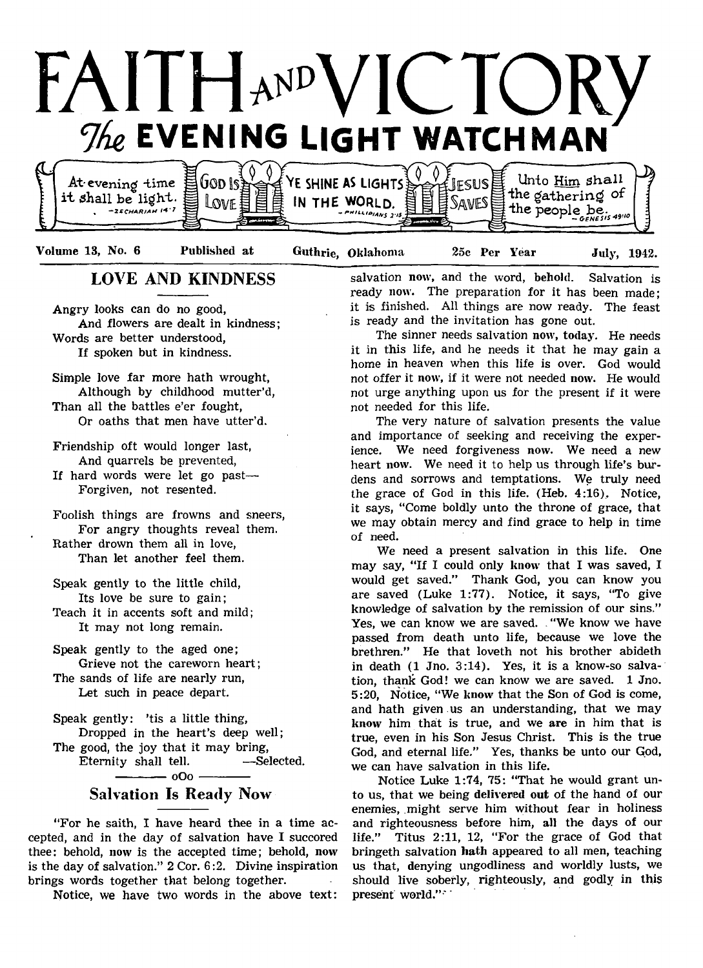

Unto Him Shall God Is At evening time Ve shine as lights **FSUS** the gathering of it shall be light. LOVE IN THE WORLD.  $t$ he people be.  $t$ <sub>19</sub>  $t$ **,** *-Z S C H A R IA H K ' 7* - *r»iLi.tp,A»s 3.*

Volume 13, No. 6 Published at

Guthrie, Oklahoma

25c Per Year July, 1942.

# LOVE AND KINDNESS

Angry looks can do no good, And flowers are dealt in kindness; Words are better understood, If spoken but in kindness.

Simple love far more hath wrought, Although by childhood mutter'd, Than all the battles e'er fought, Or oaths that men have utter'd.

Friendship oft would longer last, And quarrels be prevented,

If hard words were let go past— Forgiven, not resented.

Foolish things are frowns and sneers, For angry thoughts reveal them. Rather drown them all in love, Than let another feel them.

Speak gently to the little child, Its love be sure to gain;

Teach it in accents soft and mild; It may not long remain.

Speak gently to the aged one; Grieve not the careworn heart; The sands of life are nearly run, Let such in peace depart.

Speak gently: 'tis a little thing, Dropped in the heart's deep well; The good, the joy that it may bring, Eternity shall tell. -Selected.  $-$  oOo  $-$ 

# Salvation Is Ready Now

"For he saith, I have heard thee in a time accepted, and in the day of salvation have I succored thee: behold, now is the accepted time; behold, now is the day of salvation." 2 Cor. 6:2. Divine inspiration brings words together that belong together.

Notice, we have two words in the above text:

salvation now, and the word, behold. Salvation is ready now. The preparation for it has been made; it is finished. All things are now ready. The feast is ready and the invitation has gone out.

The sinner needs salvation now, today. He needs it in this life, and he needs it that he may gain a home in heaven when this life is over. God would not offer it now, if it were not needed now. He would not urge anything upon us for the present if it were not needed for this life.

The very nature of salvation presents the value and importance of seeking and receiving the experience. We need forgiveness now. We need a new heart now. We need it to help us through life's burdens and sorrows and temptations. We truly need the grace of God in this life.  $(Heb. 4:16)$ . Notice, it says, "Come boldly unto the throne of grace, that we may obtain mercy and find grace to help in time of need.

We need a present salvation in this life. One may say, "If I could only know that I was saved, I would get saved." Thank God, you can know you are saved (Luke 1:77). Notice, it says, "To give knowledge of salvation by the remission of our sins." Yes, we can know we are saved. . "We know we have passed from death unto life, because we love the brethren." He that loveth not his brother abideth in death (1 Jno. 3:14). Yes, it is a know-so salvation, thank God! we can know we are saved. 1 Jno. 5 :20, Notice, "We know that the Son of God is come, and hath given us an understanding, that we may know him that is true, and we are in him that is true, even in his Son Jesus Christ. This is the true God, and eternal life." Yes, thanks be unto our God, we can have salvation in this life.

Notice Luke 1:74, 75: "That he would grant unto us, that we being delivered out of the hand of our enemies, might serve him without fear in holiness and righteousness before him, all the days of our life." Titus 2:11, 12, "For the grace of God that bringeth salvation bath appeared to all men, teaching us that, denying ungodliness and worldly lusts, we should live soberly, righteously, and godly in this present world."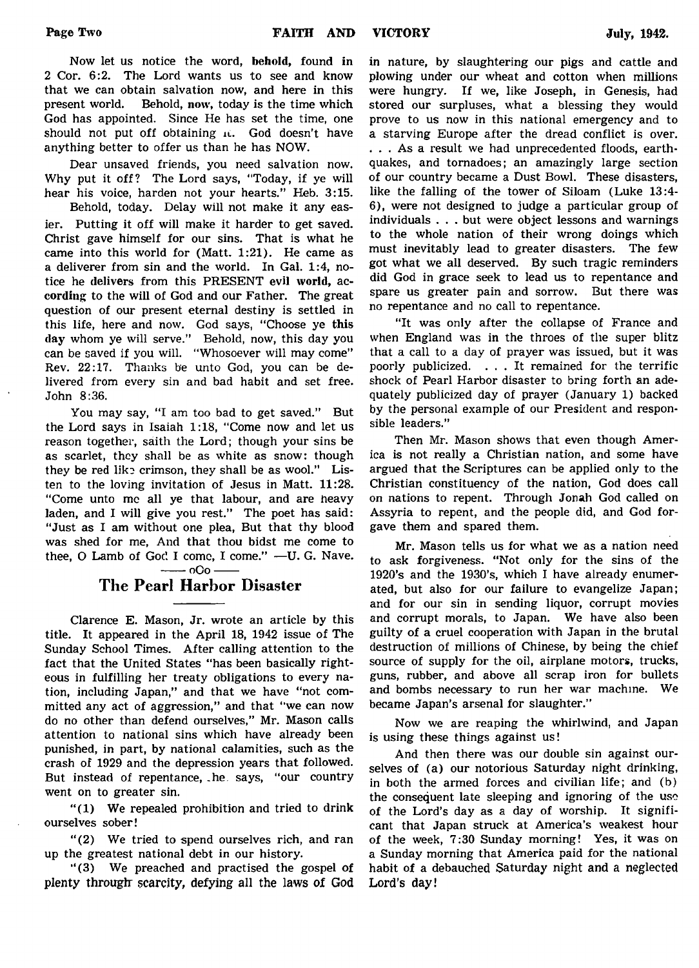Now let us notice the word, behold, found in 2 Cor. 6:2. The Lord wants us to see and know that we can obtain salvation now, and here in this present world. Behold, now, today is the time which Behold, now, today is the time which God has appointed. Since He has set the time, one should not put off obtaining it. God doesn't have anything better to offer us than he has NOW.

Dear unsaved friends, you need salvation now. Why put it off? The Lord says, "Today, if ye will hear his voice, harden not your hearts." Heb. 3:15.

Behold, today. Delay will not make it any easier. Putting it off will make it harder to get saved. Christ gave himself for our sins. That is what he came into this world for (Matt. 1:21). He came as a deliverer from sin and the world. In Gal. 1:4, notice he delivers from this PRESENT evil world, according to the will of God and our Father. The great question of our present eternal destiny is settled in this life, here and now. God says, "Choose ye this day whom ye will serve." Behold, now, this day you can be saved if you will. "Whosoever will may come" Rev. 22:17. Thanks be unto God, you can be delivered from every sin and bad habit and set free. John 8:36.

You may say, "I am too bad to get saved." But the Lord says in Isaiah 1:18, "Come now and let us reason together, saith the Lord; though your sins be as scarlet, they shall be as white as snow: though they be red like crimson, they shall be as wool." Listen to the loving invitation of Jesus in Matt. 11:28. "Come unto me all ye that labour, and are heavy laden, and I will give you rest." The poet has said: "Just as I am without one plea, But that thy blood was shed for me, And that thou bidst me come to thee, O Lamb of God I come, I come." - U. G. Nave.

 $-$  oOo  $-$ 

### The Pearl Harbor Disaster

Clarence E. Mason, Jr. wrote an article by this title. It appeared in the April 18, 1942 issue of The Sunday School Times. After calling attention to the fact that the United States "has been basically righteous in fulfilling her treaty obligations to every nation, including Japan," and that we have "not committed any act of aggression," and that "we can now do no other than defend ourselves," Mr. Mason calls attention to national sins which have already been punished, in part, by national calamities, such as the crash of 1929 and the depression years that followed. But instead of repentance, .he says, "our country went on to greater sin.

 $''(1)$  We repealed prohibition and tried to drink ourselves sober!

" (2) We tried to spend ourselves rich, and ran up the greatest national debt in our history.

" (3) We preached and practised the gospel of plenty through: scarcity, defying all the laws of God in nature, by slaughtering our pigs and cattle and plowing under our wheat and cotton when millions were hungry. If we, like Joseph, in Genesis, had stored our surpluses, what a blessing they would prove to us now in this national emergency and to a starving Europe after the dread conflict is over. . . . As a result we had unprecedented floods, earthquakes, and tornadoes; an amazingly large section of our country became a Dust Bowl. These disasters, like the falling of the tower of Siloam (Luke 13:4- 6), were not designed to judge a particular group of individuals . . . but were object lessons and warnings to the whole nation of their wrong doings which must inevitably lead to greater disasters. The few got what we all deserved. By such tragic reminders did God in grace seek to lead us to repentance and spare us greater pain and sorrow. But there was no repentance and no call to repentance.

"It was only after the collapse of France and when England was in the throes of the super blitz that a call to a day of prayer was issued, but it was poorly publicized. . . . It remained for the terrific shock of Pearl Harbor disaster to bring forth an adequately publicized day of prayer (January 1) backed by the personal example of our President and responsible leaders."

Then Mr. Mason shows that even though America is not really a Christian nation, and some have argued that the Scriptures can be applied only to the Christian constituency of the nation, God does call on nations to repent. Through Jonah God called on Assyria to repent, and the people did, and God forgave them and spared them.

Mr. Mason tells us for what we as a nation need to ask forgiveness. "Not only for the sins of the 1920's and the 1930's, which I have already enumerated, but also for our failure to evangelize Japan; and for our sin in sending liquor, corrupt movies and corrupt morals, to Japan. We have also been guilty of a cruel cooperation with Japan in the brutal destruction of millions of Chinese, by being the chief source of supply for the oil, airplane motors, trucks, guns, rubber, and above all scrap iron for bullets and bombs necessary to run her war machine. We became Japan's arsenal for slaughter."

Now we are reaping the whirlwind, and Japan is using these things against us!

And then there was our double sin against ourselves of (a) our notorious Saturday night drinking, in both the armed forces and civilian life; and (b) the consequent late sleeping and ignoring of the use of the Lord's day as a day of worship. It significant that Japan struck at America's weakest hour of the week, 7:30 Sunday morning! Yes, it was on a Sunday morning that America paid for the national habit of a debauched Saturday night and a neglected Lord's day!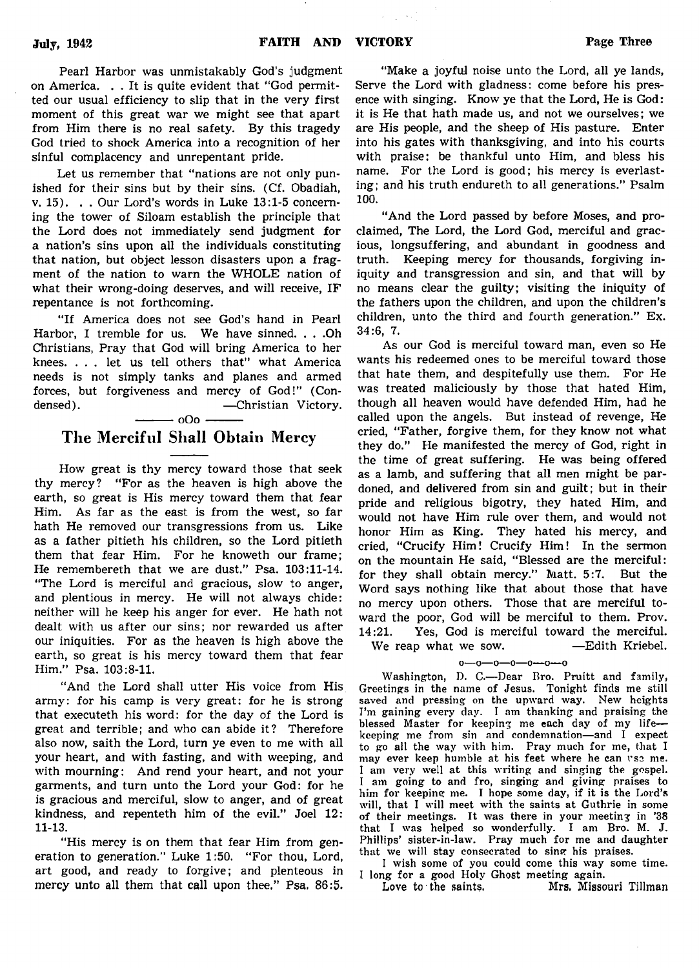Pearl Harbor was unmistakably God's judgment on America. . . It is quite evident that "God permitted our usual efficiency to slip that in the very first moment of this great war we might see that apart from Him there is no real safety. By this tragedy God tried to shock America into a recognition of her sinful complacency and unrepentant pride.

Let us remember that "nations are not only punished for their sins but by their sins. (Cf. Obadiah, v. 15). . . Our Lord's words in Luke 13:1-5 concerning the tower of Siloam establish the principle that the Lord does not immediately send judgment for a nation's sins upon all the individuals constituting that nation, but object lesson disasters upon a fragment of the nation to warn the WHOLE nation of what their wrong-doing deserves, and will receive, IF repentance is not forthcoming.

"If America does not see God's hand in Pearl Harbor, I tremble for us. We have sinned. . . .Oh Christians, Pray that God will bring America to her knees. . . . let us tell others that" what America needs is not simply tanks and planes and armed forces, but forgiveness and mercy of God!" (Condensed). — Christian Victory.

# $-$  000  $-$

# The Merciful Shall Obtain Mercy

How great is thy mercy toward those that seek thy mercy? "For as the heaven is high above the earth, so great is His mercy toward them that fear Him. As far as the east is from the west, so far hath He removed our transgressions from us. Like as a father pitieth his children, so the Lord pitieth them that fear Him. For he knoweth our frame; He remembereth that we are dust." Psa. 103:11-14. "The Lord is merciful and gracious, slow to anger, and plentious in mercy. He will not always chide: neither will he keep his anger for ever. He hath not dealt with us after our sins; nor rewarded us after our iniquities. For as the heaven is high above the earth, so great is his mercy toward them that fear Him." Psa. 103:8-11.

"And the Lord shall utter His voice from His army: for his camp is very great: for he is strong that executeth his word: for the day of the Lord is great and terrible; and who can abide it? Therefore also now, saith the Lord, turn ye even to me with all your heart, and with fasting, and with weeping, and with mourning: And rend your heart, and not your garments, and turn unto the Lord your God: for he is gracious and merciful, slow to anger, and of great kindness, and repenteth him of the evil." Joel 12: 11-13.

"His mercy is on them that fear Him from generation to generation." Luke 1:50. " For thou, Lord, art good, and ready to forgive; and plenteous in mercy unto all them that call upon thee." Psa. 86:5.

"Make a joyful noise unto the Lord, all ye lands, Serve the Lord with gladness: come before his presence with singing. Know ye that the Lord, He is God: it is He that hath made us, and not we ourselves; we are His people, and the sheep of His pasture. Enter into his gates with thanksgiving, and into his courts with praise: be thankful unto Him, and bless his name. For the Lord is good; his mercy is everlasting; and his truth endureth to all generations." Psalm 100.

"And the Lord passed by before Moses, and proclaimed, The Lord, the Lord God, merciful and gracious, longsuffering, and abundant in goodness and truth. Keeping mercy for thousands, forgiving iniquity and transgression and sin, and that will by no means clear the guilty; visiting the iniquity of the fathers upon the children, and upon the children's children, unto the third and fourth generation." Ex. 34:6, 7.

As our God is merciful toward man, even so He wants his redeemed ones to be merciful toward those that hate them, and despitefully use them. For He was treated maliciously by those that hated Him, though all heaven would have defended Him, had he called upon the angels. But instead of revenge, He cried, "Father, forgive them, for they know not what they do." He manifested the mercy of God, right in the time of great suffering. He was being offered as a lamb, and suffering that all men might be pardoned, and delivered from sin and guilt; but in their pride and religious bigotry, they hated Him, and would not have Him rule over them, and would not honor Him as King. They hated his mercy, and cried, "Crucify Him! Crucify Him! In the sermon on the mountain He said, "Blessed are the merciful: for they shall obtain mercy." Matt. 5:7. But the Word says nothing like that about those that have no mercy upon others. Those that are merciful toward the poor, God will be merciful to them. Prov. 14:21. Yes, God is merciful toward the merciful. We reap what we sow. — Edith Kriebel.

#### o— o— o—o— o— o— o

Washington, D. C.— Dear Bro. Pruitt and family, Greetings in the name of Jesus. Tonight finds me still saved and pressing on the upward way. New heights I'm gaining every day. I am thanking and praising the blessed Master for keeping me each day of my life keeping me from sin and condemnation— and I expect to go all the way with him. Pray much for me, that I may ever keep humble at his feet where he can use me. I am very well at this writing and singing the gospel. I am going to and fro, singing and giving praises to him for keeping me. I hope some day, if it is the Lord's will, that I will meet with the saints at Guthrie in some of their meetings. It was there in your meeting in '38 that I was helped so wonderfully. I am Bro. M. J. Phillips' sister-in-law. Pray much for me and daughter that we will stay consecrated to sing his praises.

I wish some of you could come this way some time. I long for a good Holy Ghost meeting again.

Love to the saints, Mrs. Missouri Tillman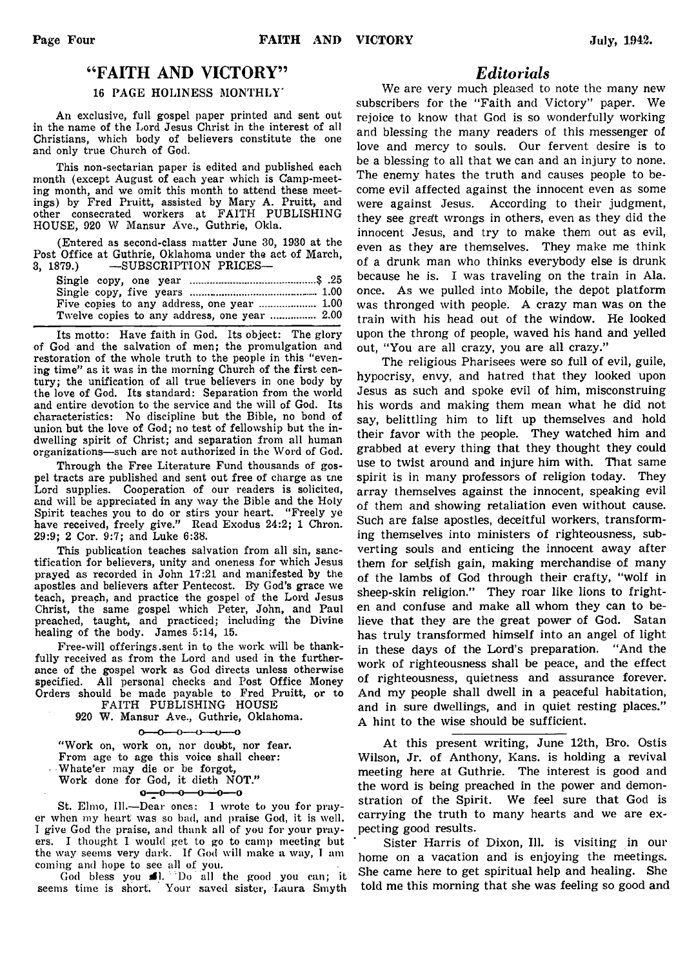### " FAITH AND VICTORY"

#### 16 PAGE HOLINESS MONTHLY'

An exclusive, full gospel paper printed and sent out in the name of the Lord Jesus Christ in the interest of all Christians, which body of believers constitute the one and only true Church of God.

This non-sectarian paper is edited and published each month (except August of each year which is Camp-meeting month, and we omit this month to attend these meetings) by Fred Pruitt, assisted by Mary A. Pruitt, and other consecrated workers at FAITH PUBLISHING HOUSE, 920 W Mansur Ave., Guthrie, Okla.

(Entered as second-class matter June 30, 1930 at the Post Office at Guthrie, Oklahoma under the act of March, 3, 1879.) — SUBSCRIPTION PRICES—

Its motto: Have faith in God. Its object: The glory of God and the salvation of men; the promulgation and restoration of the whole truth to the people in this "evening time" as it was in the morning Church of the first century; the unification of all true believers in one body by the love of God. Its standard: Separation from the world and entire devotion to the service and the will of God. Its characteristics: No discipline but the Bible, no bond of union but the love of God; no test of fellowship but the indwelling spirit of Christ; and separation from all human organizations—such are not authorized in the Word of God.

Through the Free Literature Fund thousands of gospel tracts are published and sent out free of charge as tne Lord supplies. Cooperation of our readers is solicited, and will be appreciated in any way the Bible and the Holy Spirit teaches you to do or stirs your heart. "Freely ye have received, freely give." Read Exodus 24:2; 1 Chron. 29:9; 2 Cor. 9:7; and Luke 6:38.

This publication teaches salvation from all sin, sanctification for believers, unity and oneness for which Jesus prayed as recorded in John 17:21 and manifested by the apostles and believers after Pentecost. By God's grace we teach, preach, and practice the gospel of the Lord Jesus Christ, the same gospel which Peter, John, and Paul preached, taught, and practiced; including the Divine healing of the body. James 5:14, 15.

Free-will offerings .sent in to the work will be thankfully received as from the Lord and used in the furtherance of the gospel work as God directs unless otherwise specified. All personal checks and Post Office Money Orders should be made payable to Fred Pruitt, or to

FAITH PUBLISHING HOUSE 920 W. Mansur Ave., Guthrie, Oklahoma.

 $0 - 0 - 0 - 0 - 0$ 

" Work on, work on, nor doubt, nor fear. From age to age this voice shall cheer: • Whate'er may die or be forgot, Work done for God, it dieth NOT."  $0 - 0 - 0 - 0 - 0$ 

St. Elmo, 111.— Dear ones: 1 wrote to you for prayer when my heart was so bad, and praise God, it is well. I give God the praise, and thank all of you for your prayers. I thought I would get to go to camp meeting but the way seems very dark. If God will make a way, I am coming and hope to see all of you.

God bless you  $\Box$ . Do all the good you can; it seems time is short. Your saved sister, Laura Smyth

### *Editorials*

We are very much pleased to note the many new subscribers for the "Faith and Victory" paper. We rejoice to know that God is so wonderfully working and blessing the many readers of this messenger of love and mercy to souls. Our fervent desire is to be a blessing to all that we can and an injury to none. The enemy hates the truth and causes people to become evil affected against the innocent even as some were against Jesus. According to their judgment, they see great wrongs in others, even as they did the innocent Jesus, and try to make them out as evil, even as they are themselves. They make me think of a drunk man who thinks everybody else is drunk because he is. I was traveling on the train in Ala. once. As we pulled into Mobile, the depot platform was thronged with people. A crazy man was on the train with his head out of the window. He looked upon the throng of people, waved his hand and yelled out, "You are all crazy, you are all crazy."

The religious Pharisees were so full of evil, guile, hypocrisy, envy, and hatred that they looked upon Jesus as such and spoke evil of him, misconstruing his words and making them mean what he did not say, belittling him to lift up themselves and hold their favor with the people. They watched him and grabbed at every thing that they thought they could use to twist around and injure him with. That same spirit is in many professors of religion today. They array themselves against the innocent, speaking evil of them and showing retaliation even without cause. Such are false apostles, deceitful workers, transforming themselves into ministers of righteousness, subverting souls and enticing the innocent away after them for selfish gain, making merchandise of many of the lambs of God through their crafty, "wolf in sheep-skin religion." They roar like lions to frighten and confuse and make all whom they can to believe that they are the great power of God. Satan has truly transformed himself into an angel of light in these days of the Lord's preparation. "And the work of righteousness shall be peace, and the effect of righteousness, quietness and assurance forever. And my people shall dwell in a peaceful habitation, and in sure dwellings, and in quiet resting places." A hint to the wise should be sufficient.

At this present writing, June 12th, Bro. Ostis Wilson, Jr. of Anthony, Kans. is holding a revival meeting here at Guthrie. The interest is good and the word is being preached in the power and demonstration of the Spirit. We feel sure that God is carrying the truth to many hearts and we are expecting good results.

Sister Harris of Dixon, 111. is visiting in our home on a vacation and is enjoying the meetings. She came here to get spiritual help and healing. She told me this morning that she was feeling so good and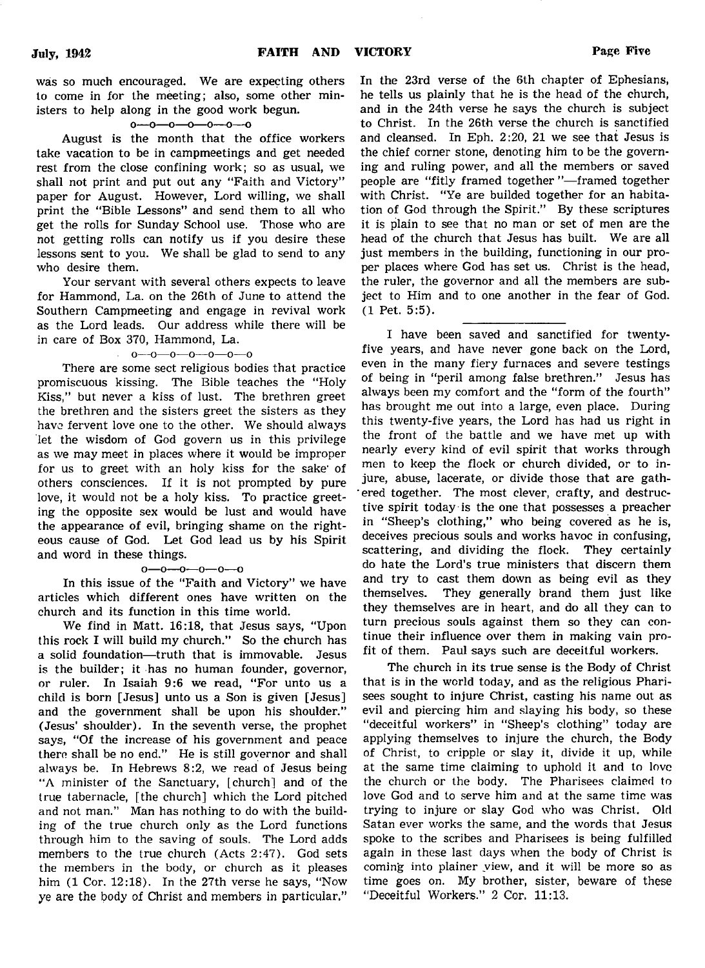was so much encouraged. We are expecting others to come in for the meeting; also, some other ministers to help along in the good work begun.<br> $o \rightarrow o \rightarrow o \rightarrow o \rightarrow o$ 

August is the month that the office workers take vacation to be in campmeetings and get needed rest from the close confining work; so as usual, we shall not print and put out any "Faith and Victory" paper for August. However, Lord willing, we shall print the "Bible Lessons" and send them to all who get the rolls for Sunday School use. Those who are not getting rolls can notify us if you desire these lessons sent to you. We shall be glad to send to any who desire them.

Your servant with several others expects to leave for Hammond, La. on the 26th of June to attend the Southern Campmeeting and engage in revival work as the Lord leads. Our address while there will be in care of Box 370, Hammond, La.

#### o—o—o—o—o—o—o

There are some sect religious bodies that practice promiscuous kissing. The Bible teaches the "Holy Kiss," but never a kiss of lust. The brethren greet the brethren and the sisters greet the sisters as they have fervent love one to the other. We should always let the wisdom of God govern us in this privilege as we may meet in places where it would be improper for us to greet with an holy kiss for the sake' of others consciences. If it is not prompted by pure love, it would not be a holy kiss. To practice greeting the opposite sex would be lust and would have the appearance of evil, bringing shame on the righteous cause of God. Let God lead us by his Spirit and word in these things.

#### o—o— o—o—o—o

In this issue of the "Faith and Victory" we have articles which different ones have written on the church and its function in this time world.

We find in Matt. 16:18, that Jesus says, "Upon this rock I will build my church." So the church has a solid foundation— truth that is immovable. Jesus is the builder; it has no human founder, governor, or ruler. In Isaiah 9:6 we read, "For unto us a child is born [Jesus] unto us a Son is given [Jesus] and the government shall be upon his shoulder." (Jesus' shoulder). In the seventh verse, the prophet says, "Of the increase of his government and peace there shall be no end." He is still governor and shall always be. In Hebrews 8:2, we read of Jesus being "A minister of the Sanctuary, [church] and of the true tabernacle, [the church] which the Lord pitched and not man." Man has nothing to do with the building of the true church only as the Lord functions through him to the saving of souls. The Lord adds members to the true church (Acts 2:47). God sets the members in the body, or church as it pleases him (1 Cor. 12:18). In the 27th verse he says, "Now ye are the body of Christ and members in particular."

In the 23rd verse of the 6th chapter of Ephesians, he tells us plainly that he is the head of the church, and in the 24th verse he says the church is subject to Christ. In the 26th verse the church is sanctified and cleansed. In Eph. 2:20, 21 we see that Jesus is the chief corner stone, denoting him to be the governing and ruling power, and all the members or saved people are "fitly framed together "— framed together with Christ. "Ye are builded together for an habitation of God through the Spirit." By these scriptures it is plain to see that no man or set of men are the head of the church that Jesus has built. We are all just members in the building, functioning in our proper places where God has set us. Christ is the head, the ruler, the governor and all the members are subject to Him and to one another in the fear of God. (1 Pet. 5:5).

I have been saved and sanctified for twentyfive years, and have never gone back on the Lord, even in the many fiery furnaces and severe testings of being in "peril among false brethren." Jesus has always been my comfort and the "form of the fourth" has brought me out into a large, even place. During this twenty-five years, the Lord has had us right in the front of the battle and we have met up with nearly every kind of evil spirit that works through men to keep the flock or church divided, or to injure, abuse, lacerate, or divide those that are gathered together. The most clever, crafty, and destructive spirit today is the one that possesses a preacher in "Sheep's clothing," who being covered as he is, deceives precious souls and works havoc in confusing, scattering, and dividing the flock. They certainly do hate the Lord's true ministers that discern them and try to cast them down as being evil as they themselves. They generally brand them just like they themselves are in heart, and do all they can to turn precious souls against them so they can continue their influence over them in making vain profit of them. Paul says such are deceitful workers.

The church in its true sense is the Body of Christ that is in the world today, and as the religious Pharisees sought to injure Christ, casting his name out as evil and piercing him and slaying his body, so these "deceitful workers" in "Sheep's clothing" today are applying themselves to injure the church, the Body of Christ, to cripple or slay it, divide it up, while at the same time claiming to uphold it and to love the church or the body. The Pharisees claimed to love God and to serve him and at the same time was trying to injure or slay God who was Christ. Old Satan ever works the same, and the words that Jesus spoke to the scribes and Pharisees is being fulfilled again in these last days when the body of Christ is coming into plainer view, and it will be more so as time goes on. My brother, sister, beware of these "Deceitful Workers." 2 Cor. 11:13.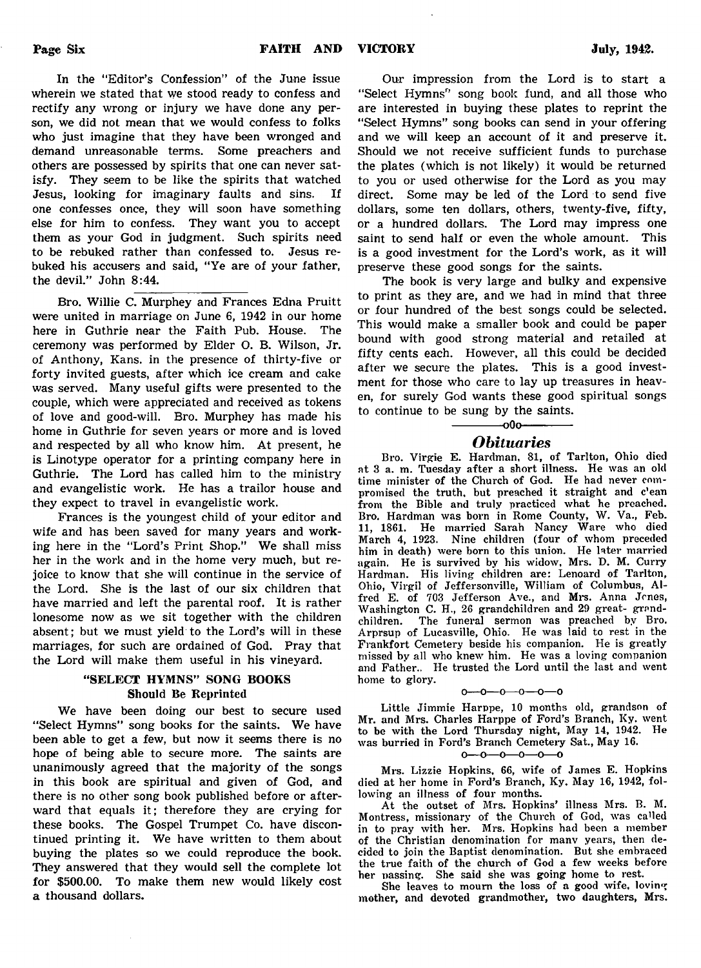In the "Editor's Confession" of the June issue wherein we stated that we stood ready to confess and rectify any wrong or injury we have done any person, we did not mean that we would confess to folks who just imagine that they have been wronged and demand unreasonable terms. Some preachers and others are possessed by spirits that one can never satisfy. They seem to be like the spirits that watched Jesus, looking for imaginary faults and sins. If one confesses once, they will soon have something else for him to confess. They want you to accept them as your God in judgment. Such spirits need to be rebuked rather than confessed to. Jesus rebuked his accusers and said, "Ye are of your father, the devil." John 8:44.

Bro. Willie C. Murphey and Frances Edna Pruitt were united in marriage on June 6, 1942 in our home here in Guthrie near the Faith Pub. House. The ceremony was performed by Elder O. B. Wilson, Jr. of Anthony, Kans. in the presence of thirty-five or forty invited guests, after which ice cream and cake was served. Many useful gifts were presented to the couple, which were appreciated and received as tokens of love and good-will. Bro. Murphey has made his home in Guthrie for seven years or more and is loved and respected by all who know him. At present, he is Linotype operator for a printing company here in Guthrie. The Lord has called him to the ministry and evangelistic work. He has a trailor house and they expect to travel in evangelistic work.

Frances is the youngest child of your editor and wife and has been saved for many years and working here in the "Lord's Print Shop." We shall miss her in the work and in the home very much, but rejoice to know that she will continue in the service of the Lord. She is the last of our six children that have married and left the parental roof. It is rather lonesome now as we sit together with the children absent; but we must yield to the Lord's will in these marriages, for such are ordained of God. Pray that the Lord will make them useful in his vineyard.

### "SELECT HYMNS" SONG BOOKS Should Be Reprinted

We have been doing our best to secure used "Select Hymns" song books for the saints. We have been able to get a few, but now it seems there is no hope of being able to secure more. The saints are unanimously agreed that the majority of the songs in this book are spiritual and given of God, and there is no other song book published before or afterward that equals it; therefore they are crying for these books. The Gospel Trumpet Co. have discontinued printing it. We have written to them about buying the plates so we could reproduce the book. They answered that they would sell the complete lot for \$500.00. To make them new would likely cost a thousand dollars.

Our impression from the Lord is to start a "Select Hymns" song book fund, and all those who are interested in buying these plates to reprint the "Select Hymns" song books can send in your offering and we will keep an account of it and preserve it. Should we not receive sufficient funds to purchase the plates (which is not likely) it would be returned to you or used otherwise for the Lord as you may direct. Some may be led of the Lord to send five dollars, some ten dollars, others, twenty-five, fifty, or a hundred dollars. The Lord may impress one saint to send half or even the whole amount. This is a good investment for the Lord's work, as it will preserve these good songs for the saints.

The book is very large and bulky and expensive to print as they are, and we had in mind that three or four hundred of the best songs could be selected. This would make a smaller book and could be paper bound with good strong material and retailed at fifty cents each. However, all this could be decided after we secure the plates. This is a good investment for those who care to lay up treasures in heaven, for surely God wants these good spiritual songs to continue to be sung by the saints.

# $-000$ *Obituaries*

Bro. Virgie E. Hardman. 81, of Tarlton, Ohio died at 3 a. m. Tuesday after a short illness. He was an old time minister of the Church of God. He had never compromised the truth, but preached it straight and c'ean from the Bible and truly practiced what he preached. Bro. Hardman was born in Rome County, W. Va., Feb. 11, 1861. He married Sarah Nancy Ware who died March 4, 1923. Nine children (four of whom preceded him in death) were born to this union. He later married again. He is survived by his widow, Mrs. D. M. Curry Hardman. His living children are: Lenoard of Tarlton, Ohio, Virgil of Jeffersonville, William of Columbus, Alfred E. of 703 Jefferson Ave., and Mrs. Anna Jones, Washington C. H., 26 grandchildren and 29 great-grandchildren. The funeral sermon was preached by Bro. Arprsup of Lucasville, Ohio. He was laid to rest in the Frankfort Cemetery beside his companion. He is greatly missed by all who knew him. He was a loving companion and Father.. He trusted the Lord until the last and went home to glory.

#### $0 - 0 - 0 - 0 - 0 - 0$

Little Jimmie Harppe, 10 months old, grandson of Mr. and Mrs. Charles Harppe of Ford's Branch, Ky. went to be with the Lord Thursday night, May 14, 1942. He was hurried in Ford's Branch Cemetery Sat., May 16.

#### $0 - 0 - 0 - 0 - 0$

Mrs. Lizzie Hopkins, 66, wife of James E. Hopkins died at her home in Ford's Branch, Ky. May 16, 1942, following an illness of four months.

At the outset of Mrs. Hopkins' illness Mrs. B. M. Montress, missionary of the Church of God, was called in to pray with her. Mrs. Hopkins had been a member of the Christian denomination for manv years, then decided to join the Baptist denomination. But she embraced the true faith of the church of God a few weeks before her passing. She said she was going home to rest.

She leaves to mourn the loss of a good wife, loving mother, and devoted grandmother, two daughters, Mrs.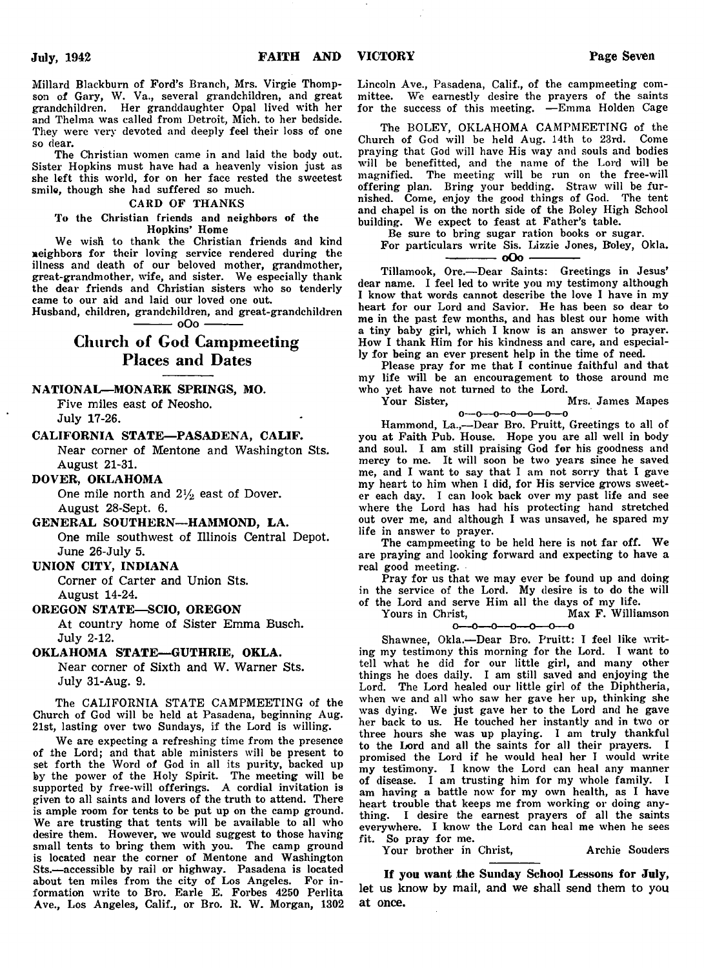Millard Blackburn of Ford's Branch, Mrs. Virgie Thompson of Gary, W. Va., several grandchildren, and great grandchildren. Her granddaughter Opal lived with her and Thelma was called from Detroit, Mich, to her bedside. They were very devoted and deeply feel their loss of one so dear.

The Christian women came in and laid the body out. Sister Hopkins must have had a heavenly vision just as she left this world, for on her face rested the sweetest smile, though she had suffered so much.

#### CARD OF THANKS

To the Christian friends and neighbors of the Hopkins' Home

We wish to thank the Christian friends and kind neighbors for their loving service rendered during the illness and death of our beloved mother, grandmother, great-grandmother, wife, and sister. We especially thank the dear friends and Christian sisters who so tenderly came to our aid and laid our loved one out.

Husband, children, grandchildren, and great-grandchildren  $-$  0O0  $-$ 

# Church of God Campmeeting Places and Dates

NATIONAL—MONARK SPRINGS, MO.

Five miles east of Neosho. July 17-26.

#### CALIFORNIA STATE— PASADENA, CALIF.

Near corner of Mentone and Washington Sts. August 21-31.

#### DOVER, OKLAHOMA

One mile north and  $2\frac{1}{2}$  east of Dover. August 28-Sept. 6.

### GENERAL SOUTHERN—HAMMOND, LA.

One mile southwest of Illinois Central Depot. June 26-July 5.

### UNION CITY, INDIANA

Corner of Carter and Union Sts. August 14-24.

#### OREGON STATE— SCIO, OREGON

At country home of Sister Emma Busch. July 2-12.

### OKLAHOMA STATE— GUTHRIE, OKLA.

Near corner of Sixth and W. Warner Sts. July 31-Aug. 9.

The CALIFORNIA STATE CAMPMEETING of the Church of God will be held at Pasadena, beginning Aug. 21st, lasting over two Sundays, if the Lord is willing.

We are expecting a refreshing time from the presence of the Lord; and that able ministers will be present to set forth the Word of God in all its purity, backed up by the power of the Holy Spirit. The meeting will be supported by free-will offerings. A cordial invitation is given to all saints and lovers of the truth to attend. There is ample room for tents to be put up on the camp ground. We are trusting that tents will be available to all who desire them. However, we would suggest to those having small tents to bring them with you. The camp ground is located near the corner of Mentone and Washington Sts.— accessible by rail or highway. Pasadena is located about ten miles from the city of Los Angeles. For information write to Bro. Earle E. Forbes 4250 Perlita Ave., Los Angeles, Calif., or Bro. R. W. Morgan, 1302 Lincoln Ave., Pasadena, Calif., of the campmeeting committee. We earnestly desire the prayers of the saints for the success of this meeting. — Emma Holden Cage

The BOLEY, OKLAHOMA CAMPMEETING of the Church of God will be held Aug. 14th to 23rd. Come praying that God will have His way and souls and bodies will be benefitted, and the name of the Lord will be magnified. The meeting will be run on the free-will offering plan. Bring your bedding. Straw will be furnished. Come, enjoy the good things of God. The tent and chapel is on the north side of the Boley High School building. We expect to feast at Father's table.

Be sure to bring sugar ration books or sugar.

For particulars write Sis. Lizzie Jones, B'oley, Okla. **-------------oOo--------------**

Tillamook, Ore.— Dear Saints: Greetings in Jesus' dear name. I feel led to write you my testimony although I know that words cannot describe the love I have in my heart for our Lord and Savior. He has been so dear to me in the past few months, and has blest our home with a tiny baby girl, which I know is an answer to prayer. How I thank Him for his kindness and care, and especially for being an ever present help in the time of need.

Please pray for me that I continue faithful and that my life will be an encouragement to those around me who yet have not turned to the Lord.<br>Your Sister,

#### Mrs. James Mapes  $0 - 0 - 0 - 0 - 0 - 0 - 0$

Hammond, La.,— Dear Bro. Pruitt, Greetings to all of you at Faith Pub. House. Hope you are all well in body and soul. I am still praising God for his goodness and mercy to me. It will soon be two years since he saved me, and I want to say that I am not sorry that I gave my heart to him when I did, for His service grows sweeter each day. I can look back over my past life and see where the Lord has had his protecting hand stretched out over me, and although I was unsaved, he spared my life in answer to prayer.

The campmeeting to be held here is not far off. We are praying and looking forward and expecting to have a real good meeting.

Pray for us that we may ever be found up and doing in the service of the Lord. My desire is to do the will of the Lord and serve Him all the days of my life.

Yours in Christ, Max F. Williamson  $0 - 0 - 0 - 0 - 0 - 0 - 0$ 

Shawnee, Okla.— Dear Bro. Pruitt: I feel like writing my testimony this morning for the Lord. I want to tell what he did for our little girl, and many other things he does daily. I am still saved and enjoying the Lord. The Lord healed our little girl of the Diphtheria, when we and all who saw her gave her up, thinking she was dying. We just gave her to the Lord and he gave her back to us. He touched her instantly and in two or three hours she was up playing. I am truly thankful to the Lord and all the saints for all their prayers. I promised the Lord if he would heal her I would write my testimony. I know the Lord can heal any manner of disease. I am trusting him for my whole family. I am having a battle now for my own health, as I have heart trouble that keeps me from working or doing anything. I desire the earnest prayers of all the saints everywhere. I know the Lord can heal me when he sees fit. So pray for me.

Your brother in Christ, Archie Souders

If you want the Sunday School Lessons for July, let us know by mail, and we shall send them to you at once.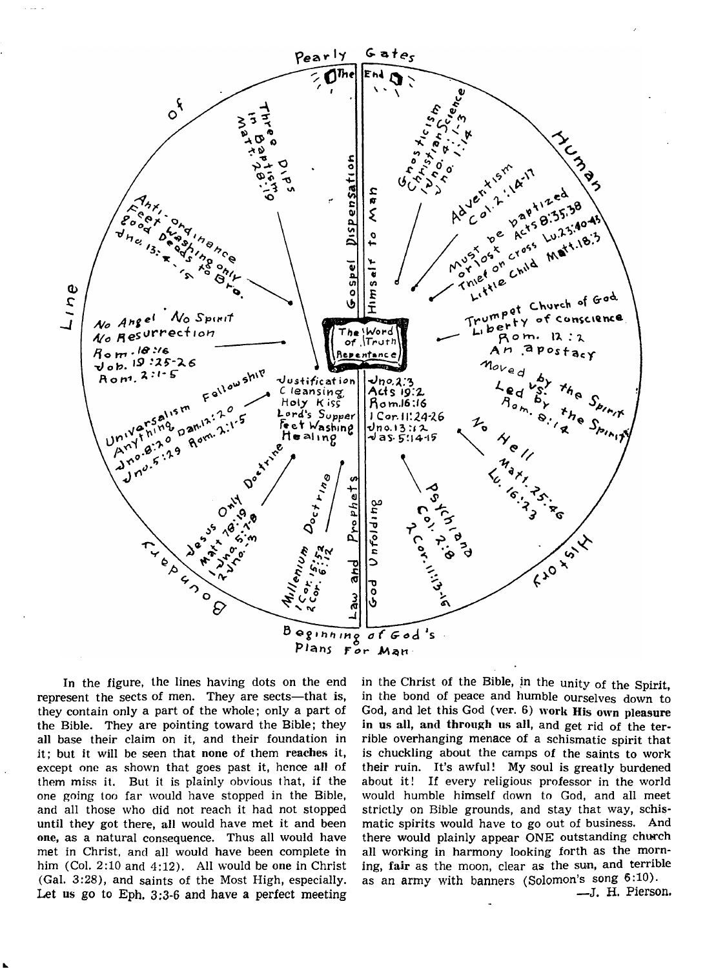

In the figure, the lines having dots on the end represent the sects of men. They are sects—that is, they contain only a part of the whole; only a part of the Bible. They are pointing toward the Bible; they all base their claim on it, and their foundation in it; but it will be seen that none of them reaches it, except one as shown that goes past it, hence all of them miss it. But it is plainly obvious that, if the one going too far would have stopped in the Bible, and all those who did not reach it had not stopped until they got there, all would have met it and been one, as a natural consequence. Thus all would have met in Christ, and all would have been complete in him (Col. 2:10 and 4:12). All would be one in Christ (Gal. 3:28), and saints of the Most High, especially. Let us go to Eph, 3:3-6 and have a perfect meeting in the Christ of the Bible, in the unity of the Spirit, in the bond of peace and humble ourselves down to God, and let this God (ver. 6) work His own pleasure in us all, and through us all, and get rid of the terrible overhanging menace of a schismatic spirit that is chuckling about the camps of the saints to work their ruin. It's awful! My soul is greatly burdened about it! If every religious professor in the world would humble himself down to God, and all meet strictly on Bible grounds, and stay that way, schismatic spirits would have to go out of business. And there would plainly appear ONE outstanding church all working in harmony looking forth as the morning, fair as the moon, clear as the sun, and terrible as an army with banners (Solomon's song 6:10).

—J. H. Pierson.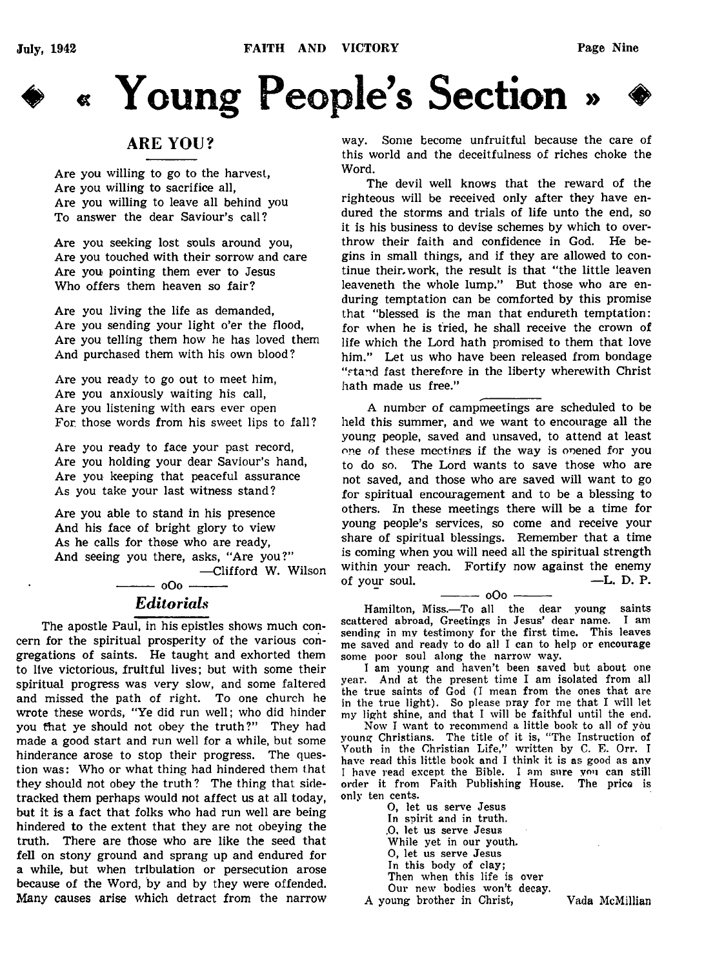



# ARE YOU?

Are you willing to go to the harvest, Are you willing to sacrifice all, Are you willing to leave all behind you To answer the dear Saviour's call?

Are you seeking lost souls around you, Are you touched with their sorrow and care Are you pointing them ever to Jesus Who offers them heaven so fair?

Are you living the life as demanded, Are you sending your light o'er the flood, Are you telling them how he has loved them And purchased them with his own blood?

Are you ready to go out to meet him, Are you anxiously waiting his call, Are you listening with ears ever open For. those words from his sweet lips to fall?

Are you ready to face your past record, Are you holding your dear Saviour's hand, Are you keeping that peaceful assurance As you take your last witness stand?

Are you able to stand in his presence And his face of bright glory to view As he calls for those who are ready, And seeing you there, asks, "Are you?" — Clifford W. Wilson

# $-000$  -*Editorials*

The apostle Paul, in his epistles shows much concern for the spiritual prosperity of the various congregations of saints. He taught and exhorted them to live victorious, fruitful lives; but with some their spiritual progress was very slow, and some faltered and missed the path of right. To one church he wrote these words, "Ye did run well; who did hinder you that ye should not obey the truth?" They had made a good start and run well for a while, but some hinderance arose to stop their progress. The question was: Who or what thing had hindered them that they should not obey the truth ? The thing that sidetracked them perhaps would not affect us at all today, but it is a fact that folks who had run well are being hindered to the extent that they are not obeying the truth. There are those who are like the seed that fell on stony ground and sprang up and endured for a while, but when tribulation or persecution arose because of the Word, by and by they were offended. Many causes arise which detract from the narrow way. Some become unfruitful because the care of this world and the deceitfulness of riches choke the Word.

The devil well knows that the reward of the righteous will be received only after they have endured the storms and trials of life unto the end, so it is his business to devise schemes by which to overthrow their faith and confidence in God. He begins in small things, and if they are allowed to continue their, work, the result is that "the little leaven leaveneth the whole lump." But those who are enduring temptation can be comforted by this promise that "blessed is the man that endureth temptation: for when he is tried, he shall receive the crown of life which the Lord hath promised to them that love him." Let us who have been released from bondage "stand fast therefore in the liberty wherewith Christ hath made us free."

A number of campmeetings are scheduled to be held this summer, and we want to encourage all the young people, saved and unsaved, to attend at least one of these meetings if the way is opened for you to do so. The Lord wants to save those who are not saved, and those who are saved will want to go for spiritual encouragement and to be a blessing to others. In these meetings there will be a time for young people's services, so come and receive your share of spiritual blessings. Remember that a time is coming when you will need all the spiritual strength within your reach. Fortify now against the enemy of your soul.  $\qquad \qquad -L. \; D. \; P.$ 

 $-000 -$ Hamilton, Miss.— To all the dear young saints scattered abroad, Greetings in Jesus' dear name. sending in my testimony for the first time. This leaves me saved and ready to do all I can to help or encourage some poor soul along the narrow way.

I am young and haven't been saved but about one year. And at the present time I am isolated from all the true saints of God (I mean from the ones that are in the true light). So please pray for me that I will let my light shine, and that I will be faithful until the end.

Now I want to recommend a little book to all of you young Christians. The title of it is, " The Instruction of Youth in the Christian Life," written by C. E. Orr. I have read this little book and I think it is as good as any I have read except the Bible. I am sure you can still order it from Faith Publishing House. The price is only ten cents.

O, let us serve Jesus In spirit and in truth. .0. let us serve Jesus While yet in our youth. 0, let us serve Jesus In this body of clay; Then when this life is over Our new bodies won't decay.

A young brother in Christ, Vada McMillian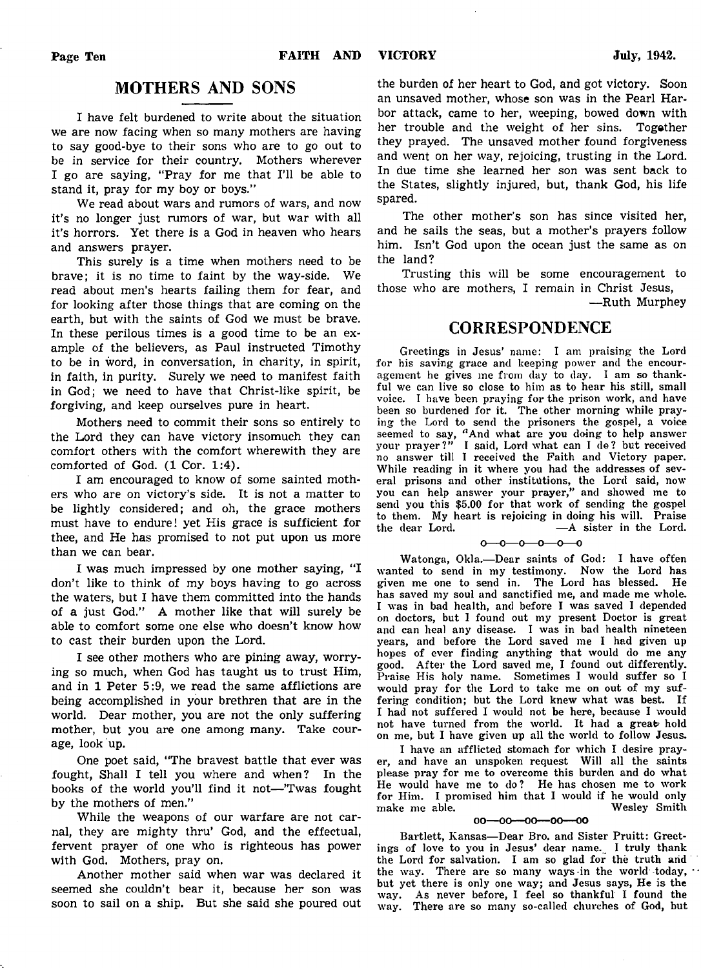# MOTHERS AND SONS

I have felt burdened to write about the situation we are now facing when so many mothers are having to say good-bye to their sons who are to go out to be in service for their country. Mothers wherever I go are saying, "Pray for me that I'll be able to stand it, pray for my boy or boys."

We read about wars and rumors of wars, and now it's no longer just rumors of war, but war with all it's horrors. Yet there is a God in heaven who hears and answers prayer.

This surely is a time when mothers need to be brave; it is no time to faint by the way-side. We read about men's hearts failing them for fear, and for looking after those things that are coming on the earth, but with the saints of God we must be brave. In these perilous times is a good time to be an example of the believers, as Paul instructed Timothy to be in word, in conversation, in charity, in spirit, in faith, in purity. Surely we need to manifest faith in God; we need to have that Christ-like spirit, be forgiving, and keep ourselves pure in heart.

Mothers need to commit their sons so entirely to the Lord they can have victory insomuch they can comfort others with the comfort wherewith they are comforted of God. (1 Cor. 1:4).

I am encouraged to know of some sainted mothers who are on victory's side. It is not a matter to be lightly considered; and oh, the grace mothers must have to endure! yet His grace is sufficient for thee, and He has promised to not put upon us more than we can bear.

I was much impressed by one mother saying, "I don't like to think of my boys having to go across the waters, but I have them committed into the hands of a just God." A mother like that will surely be able to comfort some one else who doesn't know how to cast their burden upon the Lord.

I see other mothers who are pining away, worrying so much, when God has taught us to trust Him, and in 1 Peter 5:9, we read the same afflictions are being accomplished in your brethren that are in the world. Dear mother, you are not the only suffering mother, but you are one among many. Take courage, look up.

One poet said, "The bravest battle that ever was fought, Shall I tell you where and when? In the books of the world you'll find it not— 'Twas fought by the mothers of men."

While the weapons of our warfare are not carnal, they are mighty thru' God, and the effectual, fervent prayer of one who is righteous has power with God. Mothers, pray on.

Another mother said when war was declared it seemed she couldn't bear it, because her son was soon to sail on a ship. But she said she poured out the burden of her heart to God, and got victory. Soon an unsaved mother, whose son was in the Pearl Harbor attack, came to her, weeping, bowed down with her trouble and the weight of her sins. Togather they prayed. The unsaved mother found forgiveness and went on her way, rejoicing, trusting in the Lord. In due time she learned her son was sent back to the States, slightly injured, but, thank God, his life spared.

The other mother's son has since visited her, and he sails the seas, but a mother's prayers follow him. Isn't God upon the ocean just the same as on the land?

Trusting this will be some encouragement to those who are mothers, I remain in Christ Jesus,

— Ruth Murphey

### CORRESPONDENCE

Greetings in Jesus' name: I am praising the Lord for his saving grace and keeping power and the encouragement he gives me from day to day. I am so thankful we can live so close to him as to hear his still, small voice. I have been praying for the prison work, and have been so burdened for it. The other morning while praying the Lord to send the prisoners the gospel, a voice seemed to say, " And what are you doing to help answer your prayer?" I said, Lord what can I do? but received no answer till I received the Faith and Victory paper. While reading in it where you had the addresses of several prisons and other institutions, the Lord said, now you can help answer your prayer," and showed me to send you this \$5.00 for that work of sending the gospel to them. My heart is rejoicing in doing his will. Praise the dear Lord. — A sister in the Lord.

 $0 - 0 - 0 - 0 - 0$ 

Watonga, Okla.— Dear saints of God: I have often wanted to send in my testimony. Now the Lord has given me one to send in. The Lord has blessed. He has saved my soul and sanctified me, and made me whole. I was in bad health, and before I was saved I depended on doctors, but I found out my present Doctor is great and can heal any disease. I was in bad health nineteen years, and before the Lord saved me I had given up hopes of ever finding anything that would do me any good. After the Lord saved me, I found out differently. Praise His holy name. Sometimes I would suffer so I would pray for the Lord to take me on out of my suffering condition; but the Lord knew what was best. If I had not suffered I would not be here, because I would not have turned from the world. It had a great hold on me, but I have given up all the world to follow Jesus.

I have an afflicted stomach for which I desire prayer, and have an unspoken request Will all the saints please pray for me to overcome this burden and do what He would have me to do? He has chosen me to work for Him. I promised him that I would if he would only make me able. Wesley Smith make me able.

#### $00-00-00-00$

Bartlett, Kansas— Dear Bro. and Sister Pruitt: Greetings of love to you in Jesus' dear name. I truly thank the Lord for salvation. I am so glad for the truth arid the way. There are so many ways in the world today, but yet there is only one way; and Jesus says, He is the way. As never before, I feel so thankful I found the way. There are so many so-called churches of God, but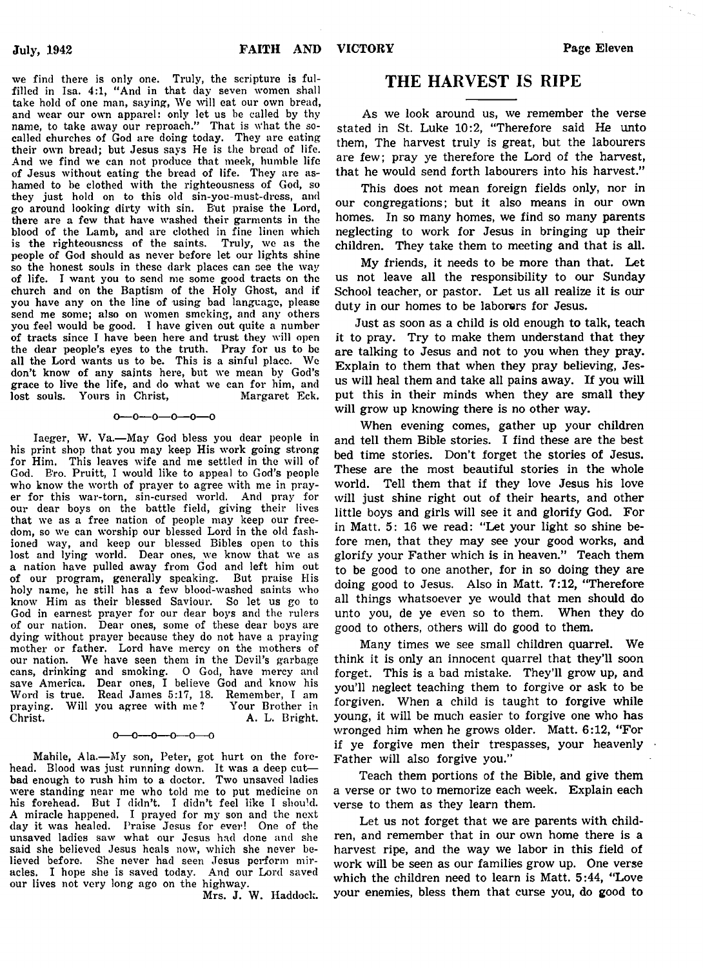we find there is only one. Truly, the scripture is fulfilled in Isa. 4:1, "And in that day seven women shall take hold of one man, saying, We will eat our own bread, and wear our own apparel: only let us be called by thy name, to take away our reproach." That is what the socalled churches of God are doing today. They are eating their own bread; but Jesus says He is the bread of life. And we find we can not produce that meek, humble life of Jesus without eating the bread of life. They are ashamed to be clothed with the righteousness of God, so they just hold on to this old sin-you-must-dress, and go around looking dirty with sin. B'ut praise the Lord, there are a few that have washed their garments in the blood of the Lamb, and are clothed in fine linen which is the righteousness of the saints. Truly, we as the people of God should as never before let our lights shine so the honest souls in these dark places can see the way of life. I want you to send me some good tracts on the church and on the Baptism of the Holy Ghost, and if you have any on the line of using bad language, please send me some; also on women smoking, and any others you feel would be good. I have given out quite a number of tracts since I have been here and trust they will open the dear people's eyes to the tiuth. Pray for us to be all the Lord wants us to be. This is a sinful place. We don't know of any saints here, but we mean by God's grace to live the life, and do what we can for him, and lost souls. Yours in Christ, Margaret Eck. lost souls. Yours in Christ,

#### $0 - 0 - 0 - 0 - 0 - 0$

Iaeger, W. Va.— May God bless you dear people in his print shop that you may keep His work going strong for Him. This leaves wife and me settled in the will of God. Bro. Pruitt, I would like to appeal to God's people who know the worth of prayer to agree with me in prayer for this war-torn, sin-cursed world. And pray for our dear boys on the battle field, giving their lives that we as a free nation of people may keep our freedom, so we can worship our blessed Lord in the old fashioned way, and keep our blessed Bibles open to this lost and lying world. Dear ones, we know that we as a nation have pulled away from God and left him out of our program, generally speaking. But praise His holy name, he still has a few blood-washed saints who know Him as their blessed Saviour. So let us go to God in earnest prayer for our dear boys and the rulers of our nation. Dear ones, some of these dear boys are dying without prayer because they do not have a praying mother or father. Lord have mercy on the mothers of our nation. We have seen them in the Devil's garbage cans, drinking and smoking. O God, have mercy and save America. Dear ones, I believe God and know his Word is true. Read James 5:17, 18. Remember, I am praying. Will you agree with me? Your Brother in A. L. Bright.

#### —0——0——0——0

Mahile, Ala.— My son, Peter, got hurt on the forehead. Blood was just running down. It was a deep cut bad enough to rush him to a doctor. Two unsaved ladies were standing near me who told me to put medicine on his forehead. But I didn't. I didn't feel like I should. A miracle happened. I prayed for my son and the next day it was healed. Praise Jesus for ever! One of the unsaved ladies saw what our Jesus had done and she said she believed Jesus heals now, which she never believed before. She never had seen Jesus perform miracles. I hope she is saved today. And our Lord saved our lives not very long ago on the highwav.

Mrs. J. W. Haddock.

### THE HARVEST IS RIPE

As we look around us, we remember the verse stated in St. Luke 10:2, "Therefore said He unto them, The harvest truly is great, but the labourers are few; pray ye therefore the Lord of the harvest, that he would send forth labourers into his harvest."

This does not mean foreign fields only, nor in our congregations; but it also means in our own homes. In so many homes, we find so many parents neglecting to work for Jesus in bringing up their children. They take them to meeting and that is all.

My friends, it needs to be more than that. Let us not leave all the responsibility to our Sunday School teacher, or pastor. Let us all realize it is our duty in our homes to be laborers for Jesus.

Just as soon as a child is old enough to talk, teach it to pray. Try to make them understand that they are talking to Jesus and not to you when they pray. Explain to them that when they pray believing, Jesus will heal them and take all pains away. If you will put this in their minds when they are small they will grow up knowing there is no other way.

When evening comes, gather up your children and tell them Bible stories. I find these are the best bed time stories. Don't forget the stories of Jesus. These are the most beautiful stories in the whole world. Tell them that if they love Jesus his love will just shine right out of their hearts, and other little boys and girls will see it and glorify God. For in Matt. 5: 16 we read: "Let your light so shine before men, that they may see your good works, and glorify your Father which is in heaven." Teach them to be good to one another, for in so doing they are doing good to Jesus. Also in Matt. 7:12, "Therefore all things whatsoever ye would that men should do unto you, de ye even so to them. When they do good to others, others will do good to them.

Many times we see small children quarrel. We think it is only an innocent quarrel that they'll soon forget. This is a bad mistake. They'll grow up, and you'll neglect teaching them to forgive or ask to be forgiven. When a child is taught to forgive while young, it will be much easier to forgive one who has wronged him when he grows older. Matt. 6:12, "For if ye forgive men their trespasses, your heavenly Father will also forgive you."

Teach them portions of the Bible, and give them a verse or two to memorize each week. Explain each verse to them as they learn them.

Let us not forget that we are parents with children, and remember that in our own home there is a harvest ripe, and the way we labor in this field of work will be seen as our families grow up. One verse which the children need to learn is Matt. 5:44, "Love your enemies, bless them that curse you, do good to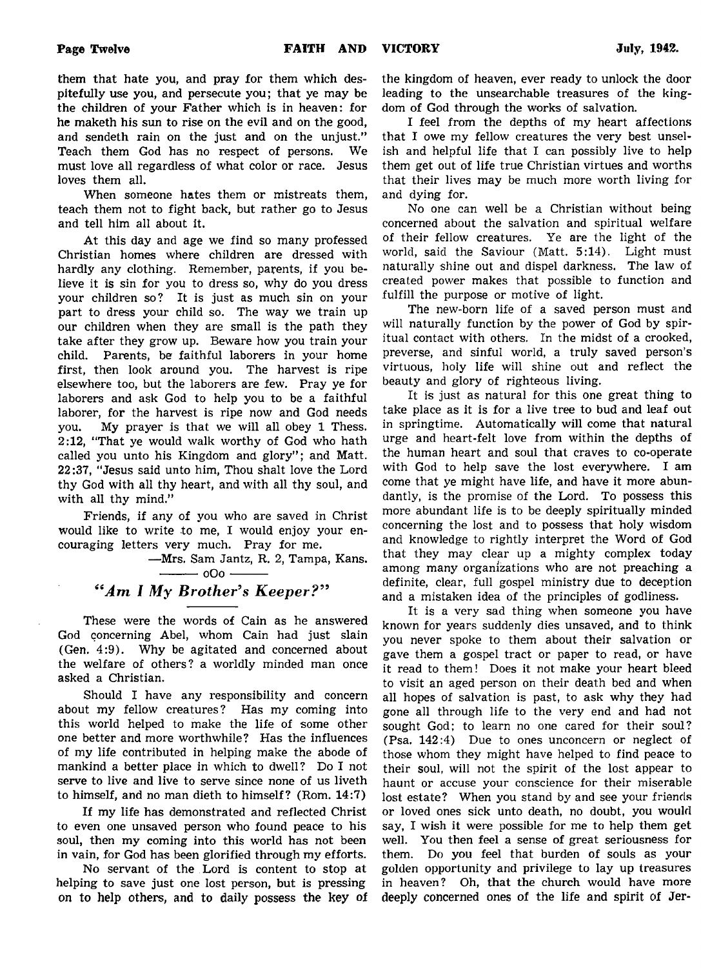them that hate you, and pray for them which despitefully use you, and persecute you; that ye may be the children of your Father which is in heaven: for he maketh his sun to rise on the evil and on the good, and sendeth rain on the just and on the unjust." Teach them God has no respect of persons. We

loves them all. When someone hates them or mistreats them, teach them not to fight back, but rather go to Jesus and tell him all about it.

must love all regardless of what color or race. Jesus

At this day and age we find so many professed Christian homes where children are dressed with hardly any clothing. Remember, parents, if you believe it is sin for you to dress so, why do you dress your children so? It is just as much sin on your part to dress your child so. The way we train up our children when they are small is the path they take after they grow up. Beware how you train your child. Parents, be faithful laborers in your home first, then look around you. The harvest is ripe elsewhere too, but the laborers are few. Pray ye for laborers and ask God to help you to be a faithful laborer, for the harvest is ripe now and God needs you. My prayer is that we will all obey 1 Thess. 2:12, "That ye would walk worthy of God who hath called you unto his Kingdom and glory"; and Matt. 22:37, "Jesus said unto him, Thou shalt love the Lord thy God with all thy heart, and with all thy soul, and with all thy mind."

Friends, if any of you who are saved in Christ would like to write to me, I would enjoy your encouraging letters very much. Pray for me.

> — Mrs. Sam Jantz, R. 2, Tampa, Kans.  $-$  000 -

# *tf<Am I My Brother's Keeper? "*

These were the words of Cain as he answered God concerning Abel, whom Cain had just slain (Gen. 4:9). Why be agitated and concerned about the welfare of others? a worldly minded man once asked a Christian.

Should I have any responsibility and concern about my fellow creatures? Has my coming into this world helped to make the life of some other one better and more worthwhile? Has the influences of my life contributed in helping make the abode of mankind a better place in which to dwell? Do I not serve to live and live to serve since none of us liveth to himself, and no man dieth to himself? (Rom. 14:7)

If my life has demonstrated and reflected Christ to even one unsaved person who found peace to his soul, then my coming into this world has not been in vain, for God has been glorified through my efforts.

No servant of the Lord is content to stop at helping to save just one lost person, but is pressing on to help others, and to daily possess the key of the kingdom of heaven, ever ready to unlock the door leading to the unsearchable treasures of the kingdom of God through the works of salvation.

I feel from the depths of my heart affections that I owe my fellow creatures the very best unselish and helpful life that I can possibly live to help them get out of life true Christian virtues and worths that their lives may be much more worth living for and dying for.

No one can well be a Christian without being concerned about the salvation and spiritual welfare of their fellow creatures. Ye are the light of the world, said the Saviour (Matt. 5:14). Light must naturally shine out and dispel darkness. The law of created power makes that possible to function and fulfill the purpose or motive of light.

The new-born life of a saved person must and will naturally function by the power of God by spiritual contact with others. In the midst of a crooked, preverse, and sinful world, a truly saved person's virtuous, holy life will shine out and reflect the beauty and glory of righteous living.

It is just as natural for this one great thing to take place as it is for a live tree to bud and leaf out in springtime. Automatically will come that natural urge and heart-felt love from within the depths of the human heart and soul that craves to co-operate with God to help save the lost everywhere. I am come that ye might have life, and have it more abundantly, is the promise of the Lord. To possess this more abundant life is to be deeply spiritually minded concerning the lost and to possess that holy wisdom and knowledge to rightly interpret the Word of God that they may clear up a mighty complex today among many organizations who are not preaching a definite, clear, full gospel ministry due to deception and a mistaken idea of the principles of godliness.

It is a very sad thing when someone you have known for years suddenly dies unsaved, and to think you never spoke to them about their salvation or gave them a gospel tract or paper to read, or have it read to them! Does it not make your heart bleed to visit an aged person on their death bed and when all hopes of salvation is past, to ask why they had gone all through life to the very end and had not sought God; to learn no one cared for their soul? (Psa. 142:4) Due to ones unconcern or neglect of those whom they might have helped to find peace to their soul, will not the spirit of the lost appear to haunt or accuse your conscience for their miserable lost estate? When you stand by and see your friends or loved ones sick unto death, no doubt, you would say, I wish it were possible for me to help them get well. You then feel a sense of great seriousness for them. Do you feel that burden of souls as your golden opportunity and privilege to lay up treasures in heaven? Oh, that the church would have more deeply concerned ones of the life and spirit of Jer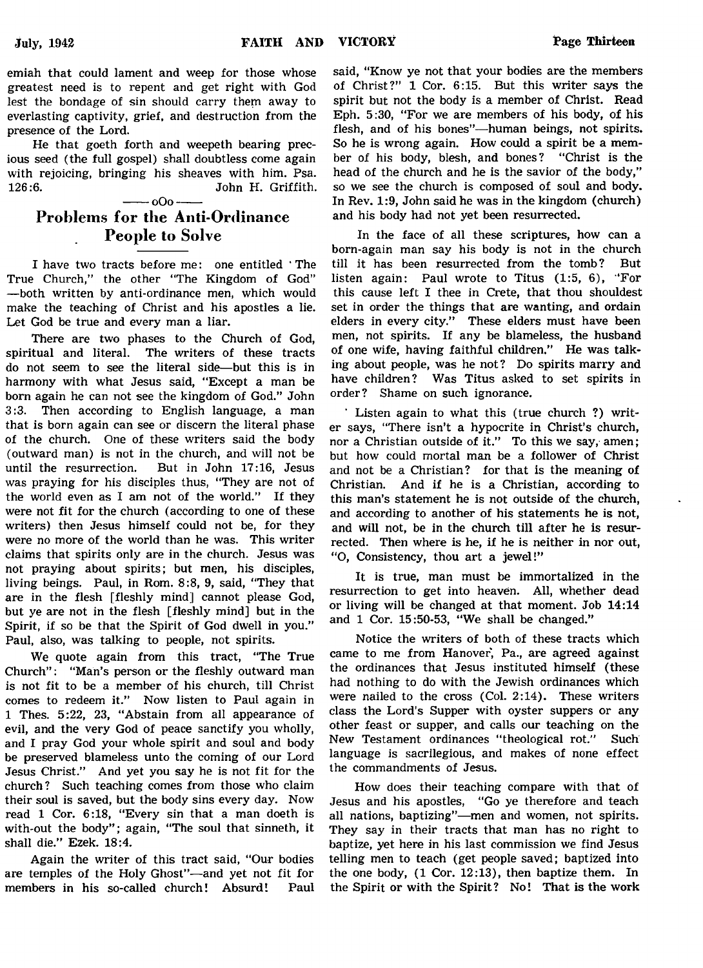emiah that could lament and weep for those whose greatest need is to repent and get right with God lest the bondage of sin should carry them away to everlasting captivity, grief, and destruction from the presence of the Lord.

He that goeth forth and weepeth bearing precious seed (the full gospel) shall doubtless come again with rejoicing, bringing his sheaves with him. Psa. 126:6. John H. Griffith.

#### $-000-$

# Problems for the Anti-Ordinance People to Solve

I have two tracts before me: one entitled ' The True Church," the other "The Kingdom of God" — both written by anti-ordinance men, which would make the teaching of Christ and his apostles a lie. Let God be true and every man a liar.

There are two phases to the Church of God, spiritual and literal. The writers of these tracts do not seem to see the literal side— but this is in harmony with what Jesus said, "Except a man be born again he can not see the kingdom of God." John 3:3. Then according to English language, a man that is born again can see or discern the literal phase of the church. One of these writers said the body (outward man) is not in the church, and will not be until the resurrection. But in John 17:16, Jesus was praying for his disciples thus, "They are not of the world even as I am not of the world." If they were not fit for the church (according to one of these writers) then Jesus himself could not be, for they were no more of the world than he was. This writer claims that spirits only are in the church. Jesus was not praying about spirits; but men, his disciples, living beings. Paul, in Rom. 8:8, 9, said, "They that are in the flesh [fleshly mind] cannot please God, but ye are not in the flesh [fleshly mind] but in the Spirit, if so be that the Spirit of God dwell in you." Paul, also, was talking to people, not spirits.

We quote again from this tract, "The True Church": "Man's person or the fleshly outward man is not fit to be a member of his church, till Christ comes to redeem it." Now listen to Paul again in 1 Thes. 5:22, 23, "Abstain from all appearance of evil, and the very God of peace sanctify you wholly, and I pray God your whole spirit and soul and body be preserved blameless unto the coming of our Lord Jesus Christ." And yet you say he is not fit for the church? Such teaching comes from those who claim their soul is saved, but the body sins every day. Now read 1 Cor. 6:18, "Every sin that a man doeth is with-out the body"; again, "The soul that sinneth, it shall die." Ezek. 18:4.

Again the writer of this tract said, "Our bodies are temples of the Holy Ghost"— and yet not fit for members in his so-called church! Absurd! Paul

said, "Know ye not that your bodies are the members of Christ?" 1 Cor. 6:15. But this writer says the spirit but not the body is a member of Christ. Read Eph. 5:30, "For we are members of his body, of his flesh, and of his bones"— human beings, not spirits. So he is wrong again. How could a spirit be a member of his body, blesh, and bones? "Christ is the head of the church and he is the savior of the body," so we see the church is composed of soul and body. In Rev. 1:9, John said he was in the kingdom (church) and his body had not yet been resurrected.

In the face of all these scriptures, how can a born-again man say his body is not in the church till it has been resurrected from the tomb? But listen again: Paul wrote to Titus (1:5, 6), "For this cause left I thee in Crete, that thou shouldest set in order the things that are wanting, and ordain elders in every city." These elders must have been men, not spirits. If any be blameless, the husband of one wife, having faithful children." He was talking about people, was he not? Do spirits marry and have children? Was Titus asked to set spirits in order? Shame on such ignorance.

Listen again to what this (true church ?) writer says, "There isn't a hypocrite in Christ's church, nor a Christian outside of it." To this we say, amen; but how could mortal man be a follower of Christ and not be a Christian? for that is the meaning of Christian. And if he is a Christian, according to this man's statement he is not outside of the church, and according to another of his statements he is not, and will not, be in the church till after he is resurrected. Then where is he, if he is neither in nor out, "O, Consistency, thou art a jewel!"

It is true, man must be immortalized in the resurrection to get into heaven. All, whether dead or living will be changed at that moment. Job 14:14 and 1 Cor. 15:50-53, "We shall be changed."

Notice the writers of both of these tracts which came to me from Hanover, Pa., are agreed against the ordinances that Jesus instituted himself (these had nothing to do with the Jewish ordinances which were nailed to the cross (Col. 2:14). These writers class the Lord's Supper with oyster suppers or any other feast or supper, and calls our teaching on the New Testament ordinances "theological rot." Such language is sacrilegious, and makes of none effect the commandments of Jesus.

How does their teaching compare with that of Jesus and his apostles, "Go ye therefore and teach all nations, baptizing"— men and women, not spirits. They say in their tracts that man has no right to baptize, yet here in his last commission we find Jesus telling men to teach (get people saved; baptized into the one body, (1 Cor. 12:13), then baptize them. In the Spirit or with the Spirit? No! That is the work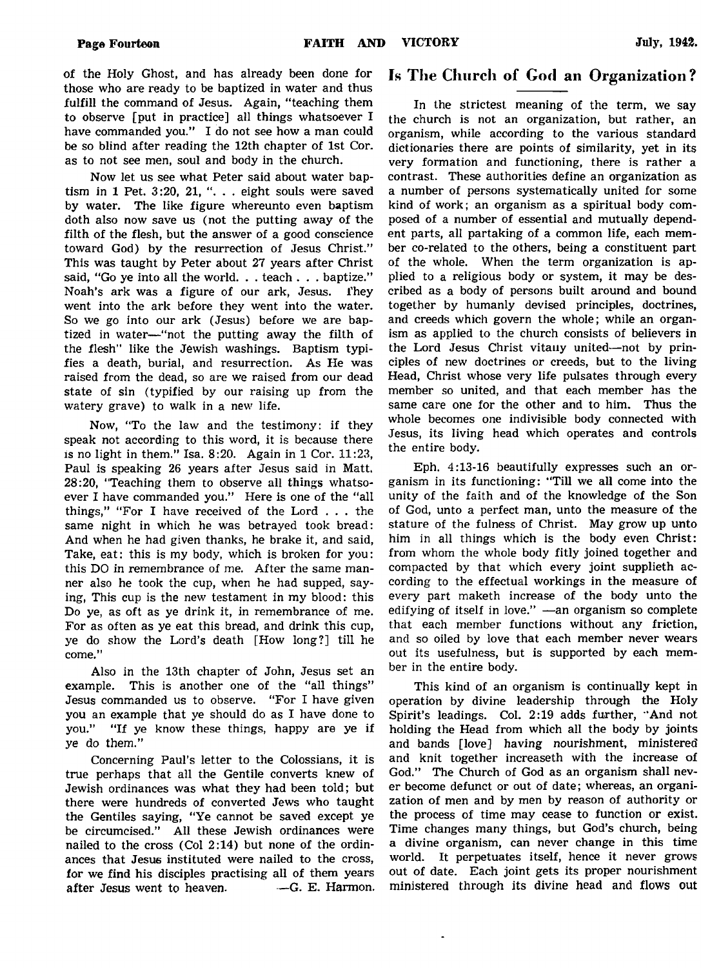of the Holy Ghost, and has already been done for those who are ready to be baptized in water and thus fulfill the command of Jesus. Again, "teaching them to observe [put in practice] all things whatsoever I have commanded you." I do not see how a man could be so blind after reading the 12th chapter of 1st Cor. as to not see men, soul and body in the church.

Now let us see what Peter said about water baptism in 1 Pet.  $3:20$ ,  $21$ , "... eight souls were saved by water. The like figure whereunto even baptism doth also now save us (not the putting away of the filth of the flesh, but the answer of a good conscience toward God) by the resurrection of Jesus Christ." This was taught by Peter about 27 years after Christ said, "Go ye into all the world. . . teach . . . baptize." Noah's ark was a figure of our ark, Jesus. They went into the ark before they went into the water. So we go into our ark (Jesus) before we are baptized in water— "not the putting away the filth of the flesh" like the Jewish washings. Baptism typifies a death, burial, and resurrection. As He was raised from the dead, so are we raised from our dead state of sin (typified by our raising up from the watery grave) to walk in a new life.

Now, "To the law and the testimony: if they speak not according to this word, it is because there is no light in them." Isa. 8:20. Again in 1 Cor. 11:23, Paul is speaking 26 years after Jesus said in Matt. 28:20, "Teaching them to observe all things whatsoever I have commanded you." Here is one of the "all things," "For I have received of the Lord . . . the same night in which he was betrayed took bread: And when he had given thanks, he brake it, and said, Take, eat: this is my body, which is broken for you: this DO in remembrance of me. After the same manner also he took the cup, when he had supped, saying, This cup is the new testament in my blood: this Do ye, as oft as ye drink it, in remembrance of me. For as often as ye eat this bread, and drink this cup, ye do show the Lord's death [How long?] till he come."

Also in the 13th chapter of John, Jesus set an example. This is another one of the "all things" Jesus commanded us to observe. "For I have given you an example that ye should do as I have done to you." "If ye know these things, happy are ye if ye do them."

Concerning Paul's letter to the Colossians, it is true perhaps that all the Gentile converts knew of Jewish ordinances was what they had been told; but there were hundreds of converted Jews who taught the Gentiles saying, "Ye cannot be saved except ye be circumcised." All these Jewish ordinances were nailed to the cross (Col 2:14) but none of the ordinances that Jesus instituted were nailed to the cross, for we find his disciples practising all of them years after Jesus went to heaven. — G. E. Harmon.

# Is The Church of God an Organization?

In the strictest meaning of the term, we say the church is not an organization, but rather, an organism, while according to the various standard dictionaries there are points of similarity, yet in its very formation and functioning, there is rather a contrast. These authorities define an organization as a number of persons systematically united for some kind of work; an organism as a spiritual body composed of a number of essential and mutually dependent parts, all partaking of a common life, each member co-related to the others, being a constituent part of the whole. When the term organization is applied to a religious body or system, it may be described as a body of persons built around and bound together by humanly devised principles, doctrines, and creeds which govern the whole; while an organism as applied to the church consists of believers in the Lord Jesus Christ vitany united-not by principles of new doctrines or creeds, but to the living Head, Christ whose very life pulsates through every member so united, and that each member has the same care one for the other and to him. Thus the whole becomes one indivisible body connected with Jesus, its living head which operates and controls the entire body.

Eph. 4:13-16 beautifully expresses such an organism in its functioning: "Till we all come into the unity of the faith and of the knowledge of the Son of God, unto a perfect man, unto the measure of the stature of the fulness of Christ. May grow up unto him in all things which is the body even Christ: from whom the whole body fitly joined together and compacted by that which every joint supplieth according to the effectual workings in the measure of every part maketh increase of the body unto the edifying of itself in love." — an organism so complete that each member functions without any friction, and so oiled by love that each member never wears out its usefulness, but is supported by each member in the entire body.

This kind of an organism is continually kept in operation by divine leadership through the Holy Spirit's leadings. Col. 2:19 adds further, 'And not holding the Head from which all the body by joints and bands [love] having nourishment, ministered and knit together increaseth with the increase of God." The Church of God as an organism shall never become defunct or out of date; whereas, an organization of men and by men by reason of authority or the process of time may cease to function or exist. Time changes many things, but God's church, being a divine organism, can never change in this time world. It perpetuates itself, hence it never grows out of date. Each joint gets its proper nourishment ministered through its divine head and flows out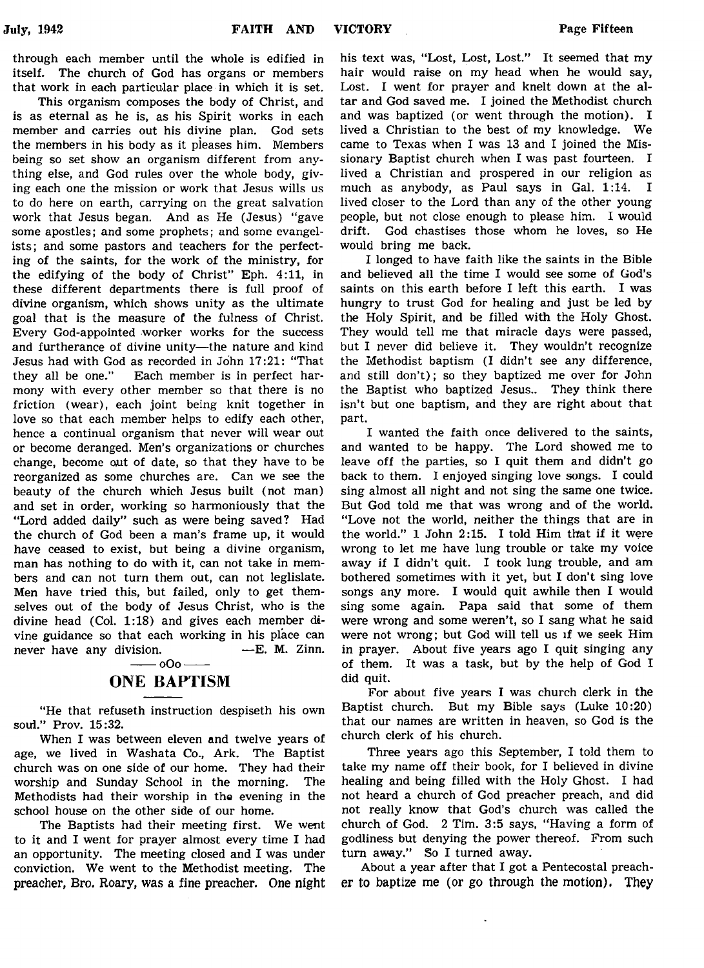through each member until the whole is edified in itself. The church of God has organs or members that work in each particular place in which it is set.

This organism composes the body of Christ, and is as eternal as he is, as his Spirit works in each member and carries out his divine plan. God sets the members in his body as it pleases him. Members being so set show an organism different from anything else, and God rules over the whole body, giving each one the mission or work that Jesus wills us to do here on earth, carrying on the great salvation work that Jesus began. And as He (Jesus) "gave some apostles; and some prophets; and some evangelists; and some pastors and teachers for the perfecting of the saints, for the work of the ministry, for the edifying of the body of Christ" Eph. 4:11, in these different departments there is full proof of divine organism, which shows unity as the ultimate goal that is the measure of the fulness of Christ. Every God-appointed worker works for the success and furtherance of divine unity— the nature and kind Jesus had with God as recorded in John 17:21: "That they all be one." Each member is in perfect harmony with every other member so that there is no friction (wear), each joint being knit together in love so that each member helps to edify each other, hence a continual organism that never will wear out or become deranged. Men's organizations or churches change, become out of date, so that they have to be reorganized as some churches are. Can we see the beauty of the church which Jesus built (not man) and set in order, working so harmoniously that the "Lord added daily" such as were being saved? Had the church of God been a man's frame up, it would have ceased to exist, but being a divine organism, man has nothing to do with it, can not take in members and can not turn them out, can not leglislate. Men have tried this, but failed, only to get themselves out of the body of Jesus Christ, who is the divine head (Col. 1:18) and gives each member divine guidance so that each working in his place can never have any division. — E. M. Zinn.  $000-$ 

# ONE BAPTISM

"He that refuseth instruction despiseth his own soul." Prov. 15:32.

When I was between eleven and twelve years of age, we lived in Washata Co., Ark. The Baptist church was on one side of our home. They had their worship and Sunday School in the morning. The Methodists had their worship in the evening in the school house on the other side of our home.

The Baptists had their meeting first. We went to it and I went for prayer almost every time I had an opportunity. The meeting closed and I was under conviction. We went to the Methodist meeting. The preacher, Bro. Roary, was a fine preacher. One night

his text was, "Lost, Lost, Lost." It seemed that my hair would raise on my head when he would say, Lost. I went for prayer and knelt down at the altar and God saved me. I joined the Methodist church and was baptized (or went through the motion). I lived a Christian to the best of my knowledge. We came to Texas when I was 13 and I joined the Missionary Baptist church when I was past fourteen. I lived a Christian and prospered in our religion as much as anybody, as Paul says in Gal. 1:14. I lived closer to the Lord than any of the other young people, but not close enough to please him. I would drift. God chastises those whom he loves, so He would bring me back.

I longed to have faith like the saints in the Bible and believed all the time I would see some of God's saints on this earth before I left this earth. I was hungry to trust God for healing and just be led by the Holy Spirit, and be filled with the Holy Ghost. They would tell me that miracle days were passed, but I never did believe it. They wouldn't recognize the Methodist baptism (I didn't see any difference, and still don't); so they baptized me over for John the Baptist who baptized Jesus.. They think there isn't but one baptism, and they are right about that part.

I wanted the faith once delivered to the saints, and wanted to be happy. The Lord showed me to leave off the parties, so I quit them and didn't go back to them. I enjoyed singing love songs. I could sing almost all night and not sing the same one twice. But God told me that was wrong and of the world. "Love not the world, neither the things that are in the world." 1 John 2:15. I told Him that if it were wrong to let me have lung trouble or take my voice away if I didn't quit. I took lung trouble, and am bothered sometimes with it yet, but I don't sing love songs any more. I would quit awhile then I would sing some again. Papa said that some of them were wrong and some weren't, so I sang what he said were not wrong; but God will tell us if we seek Him in prayer. About five years ago I quit singing any of them. It was a task, but by the help of God I did quit.

For about five years I was church clerk in the Baptist church. But my Bible says (Luke 10:20) that our names are written in heaven, so God is the church clerk of his church.

Three years ago this September, I told them to take my name off their book, for I believed in divine healing and being filled with the Holy Ghost. I had not heard a church of God preacher preach, and did not really know that God's church was called the church of God. 2 Tim. 3:5 says, "Having a form of godliness but denying the power thereof. From such turn away." So I turned away.

About a year after that I got a Pentecostal preacher to baptize me (or go through the motion). They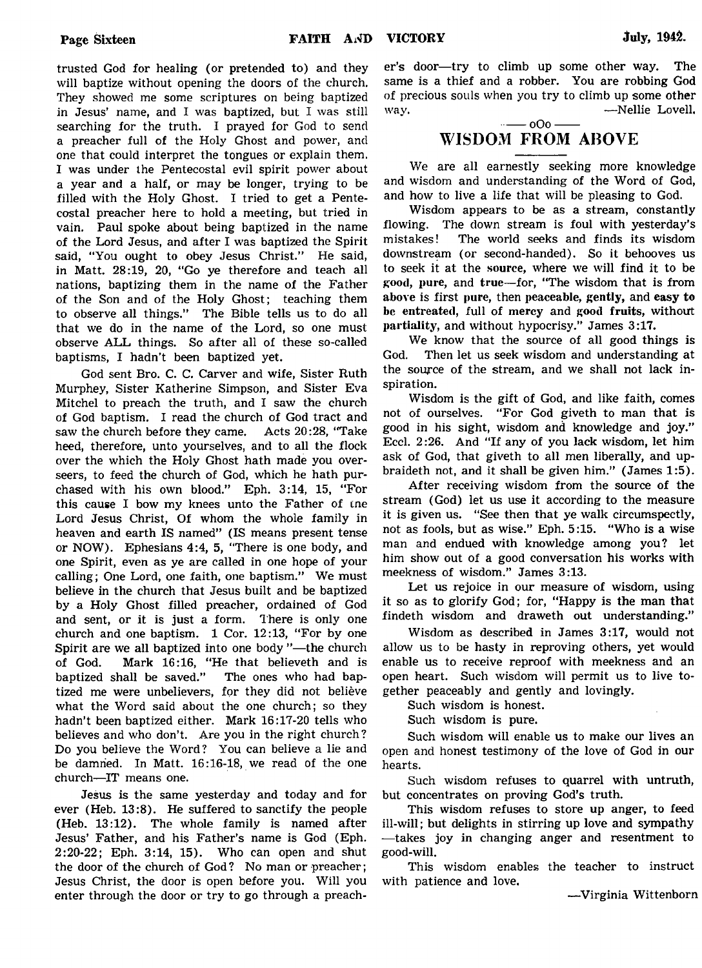trusted God for healing (or pretended to) and they will baptize without opening the doors of the church. They showed me some scriptures on being baptized in Jesus' name, and I was baptized, but I was still searching for the truth. I prayed for God to send a preacher full of the Holy Ghost and power, and one that could interpret the tongues or explain them. I was under the Pentecostal evil spirit power about a year and a half, or may be longer, trying to be filled with the Holy Ghost. I tried to get a Pentecostal preacher here to hold a meeting, but tried in vain. Paul spoke about being baptized in the name of the Lord Jesus, and after I was baptized the Spirit said, "You ought to obey Jesus Christ." He said, in Matt. 28:19, 20, "Go ye therefore and teach all nations, baptizing them in the name of the Father of the Son and of the Holy Ghost; teaching them to observe all things." The Bible tells us to do all that we do in the name of the Lord, so one must observe ALL things. So after all of these so-called baptisms, I hadn't been baptized yet.

God sent Bro. C. C. Carver and wife, Sister Ruth Murphey, Sister Katherine Simpson, and Sister Eva Mitchel to preach the truth, and I saw the church of God baptism. I read the church of God tract and saw the church before they came. Acts 20:28, "Take heed, therefore, unto yourselves, and to all the flock over the which the Holy Ghost hath made you overseers, to feed the church of God, which he hath purchased with his own blood." Eph. 3:14, 15, "For this cause I bow my knees unto the Father of tne Lord Jesus Christ, Of whom the whole family in heaven and earth IS named" (IS means present tense or NOW). Ephesians 4:4, 5, "There is one body, and one Spirit, even as ye are called in one hope of your calling; One Lord, one faith, one baptism." We must believe in the church that Jesus built and be baptized by a Holy Ghost filled preacher, ordained of God and sent, or it is just a form. There is only one church and one baptism. 1 Cor. 12:13, "For by one Spirit are we all baptized into one body "— the church of God. Mark 16:16, "He that believeth and is baptized shall be saved." The ones who had baptized me were unbelievers, for they did not believe what the Word said about the one church; so they hadn't been baptized either. Mark 16:17-20 tells who believes and who don't. Are you in the right church? Do you believe the Word? You can believe a lie and be damned. In Matt. 16:16-18, we read of the one church—IT means one.

Jesus is the same yesterday and today and for ever (Heb. 13:8). He suffered to sanctify the people (Heb. 13:12). The whole family is named after Jesus' Father, and his Father's name is God (Eph. 2:20-22; Eph. 3:14, 15). Who can open and shut the door of the church of God? No man or preacher; Jesus Christ, the door is open before you. Will you enter through the door or try to go through a preacher's door—try to climb up some other way. The same is a thief and a robber. You are robbing God of precious souls when you try to climb up some other way. — Nellie Lovell.

### $-- 000 -$ WISDOM FROM ABOVE

We are all earnestly seeking more knowledge and wisdom and understanding of the Word of God, and how to live a life that will be pleasing to God.

Wisdom appears to be as a stream, constantly flowing. The down stream is foul with yesterday's mistakes! The world seeks and finds its wisdom downstream (or second-handed). So it behooves us to seek it at the source, where we will find it to be good, pure, and true—for, "The wisdom that is from above is first pure, then peaceable, gently, and easy to be entreated, full of mercy and good fruits, without partiality, and without hypocrisy." James 3:17.

We know that the source of all good things is God. Then let us seek wisdom and understanding at the source of the stream, and we shall not lack inspiration.

Wisdom is the gift of God, and like faith, comes not of ourselves. "For God giveth to man that is good in his sight, wisdom and knowledge and joy." Eccl. 2:26. And "If any of you lack wisdom, let him ask of God, that giveth to all men liberally, and upbraideth not, and it shall be given him." (James 1:5).

After receiving wisdom from the source of the stream (God) let us use it according to the measure it is given us. "See then that ye walk circumspectly, not as fools, but as wise." Eph. 5:15. "Who is a wise man and endued with knowledge among you? let him show out of a good conversation his works with meekness of wisdom." James 3:13.

Let us rejoice in our measure of wisdom, using it so as to glorify God; for, "Happy is the man that findeth wisdom and draweth out understanding."

Wisdom as described in James 3:17, would not allow us to be hasty in reproving others, yet would enable us to receive reproof with meekness and an open heart. Such wisdom will permit us to live together peaceably and gently and lovingly.

Such wisdom is honest.

Such wisdom is pure.

Such wisdom will enable us to make our lives an open and honest testimony of the love of God in our hearts.

Such wisdom refuses to quarrel with untruth, but concentrates on proving God's truth.

This wisdom refuses to store up anger, to feed ill-will; but delights in stirring up love and sympathy — takes joy in changing anger and resentment to good-will.

This wisdom enables the teacher to instruct with patience and love.

—Virginia Wittenborn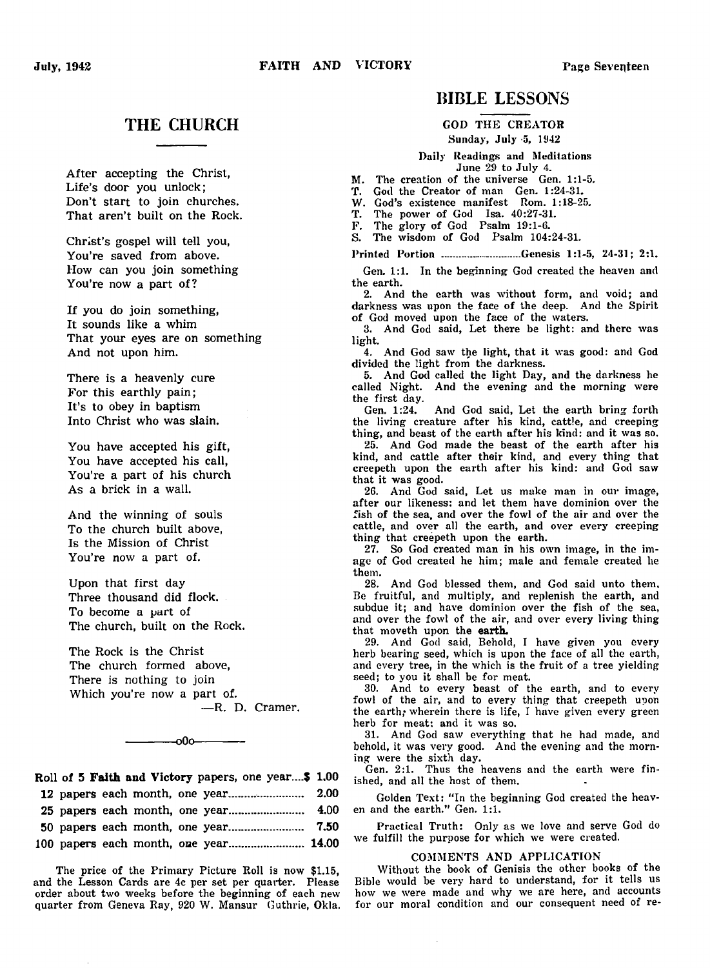# THE CHURCH

After accepting the Christ, Life's door you unlock; Don't start to join churches. That aren't built on the Rock.

Christ's gospel will tell you, You're saved from above. How can you join something You're now a part of?

If you do join something, It sounds like a whim That your eyes are on something And not upon him.

There is a heavenly cure For this earthly pain; It's to obey in baptism Into Christ who was slain.

You have accepted his gift, You have accepted his call, You're a part of his church As a brick in a wall.

And the winning of souls To the church built above, Is the Mission of Christ You're now a part of.

Upon that first day Three thousand did flock. To become a part of The church, built on the Rock.

The Rock is the Christ The church formed above, There is nothing to join Which you're now a part of. — R. D. Cramer.



# Roll of 5 **Faith and** Victory papers, one year....\$ 1.00 12 papers each month, one year....... .............. 2.00 25 papers each month, one year...................... 4.00 50 papers each month, one year...................... 7.50

100 papers each month, one year...................... 14.00

The price of the Primary Picture Roll is now \$1.15, and the Lesson Cards are 4c per set per quarter. Please order about two weeks before the beginning of each new quarter from Geneva Ray, 920 W. Mansur Guthrie, Okla.

# BIBLE LESSONS

GOD THE CREATOR

Sunday, July -5, 1942

Daily Readings and Meditations June 29 to July 4.

M. The creation of the universe Gen. 1:1-5.

T. God the Creator of man Gen. 1:24-31.

W. God's existence manifest Rom. 1:18-25.

T. The power of God Isa. 40:27-31.

F. The glory of God Psalm 19:1-6.

S. The wisdom of God Psalm 104:24-31-

Printed Portion ...............-.......... Genesis 1:1-5, 24-31; 2:1.

Gen. 1:1. In the beginning God created the heaven and the earth.

2. And the earth was without form, and void; and darkness was upon the face of the deep. And the Spirit of God moved upon the face of the waters.

3. And God said, Let there be light: and there was light.

4. And God saw the light, that it was good: and God divided the light from the darkness.

5. And God called the light Day, and the darkness he called Night. And the evening and the morning were the first day.<br>Gen. 1:24.

And God said, Let the earth bring forth the living creature after his kind, cattle, and creeping thing, and beast of the earth after his kind: and it was so.

25. And God made the beast of the earth after his kind, and cattle after their kind, and every thing that creepeth upon the earth after his kind: and God saw that it was good.

26. And God said, Let us make man in our image, after our likeness: and let them have dominion over the fish of the sea, and over the fowl of the air and over the cattle, and over all the earth, and over every creeping thing that creepeth upon the earth.

27. So God created man in his own image, in the image of God created he him; male and female created he them.

28. And God blessed them, and God said unto them. Be fruitful, and multiply, and replenish the earth, and subdue it; and have dominion over the fish of the sea, and over the fowl of the air, and over every living thing that moveth upon the earth.

29. And God said, Behold, I have given you every herb bearing seed, which is upon the face of all the earth, and every tree, in the which is the fruit of a tree yielding seed; to you it shall be for meat.

30. And to every beast of the earth, and to every fowl of the air, and to every thing that creepeth upon the earth; wherein there is life, I have given every green herb for meat: and it was so.

31. And God saw everything that he had made, and behold, it was very good. And the evening and the morning were the sixth day.

Gen. 2:1. Thus the heavens and the earth were finished, and all the host of them.

Golden Text: "In the beginning God created the heaven and the earth." Gen. 1:1.

Practical Truth: Only as we love and serve God do we fulfill the purpose for which we were created.

#### COMMENTS AND APPLICATION

Without the book of Genisis the other books of the Bible would be very hard to understand, for it tells us how we were made and why we are here, and accounts for our moral condition and our consequent need of re

 $\ddot{\phantom{a}}$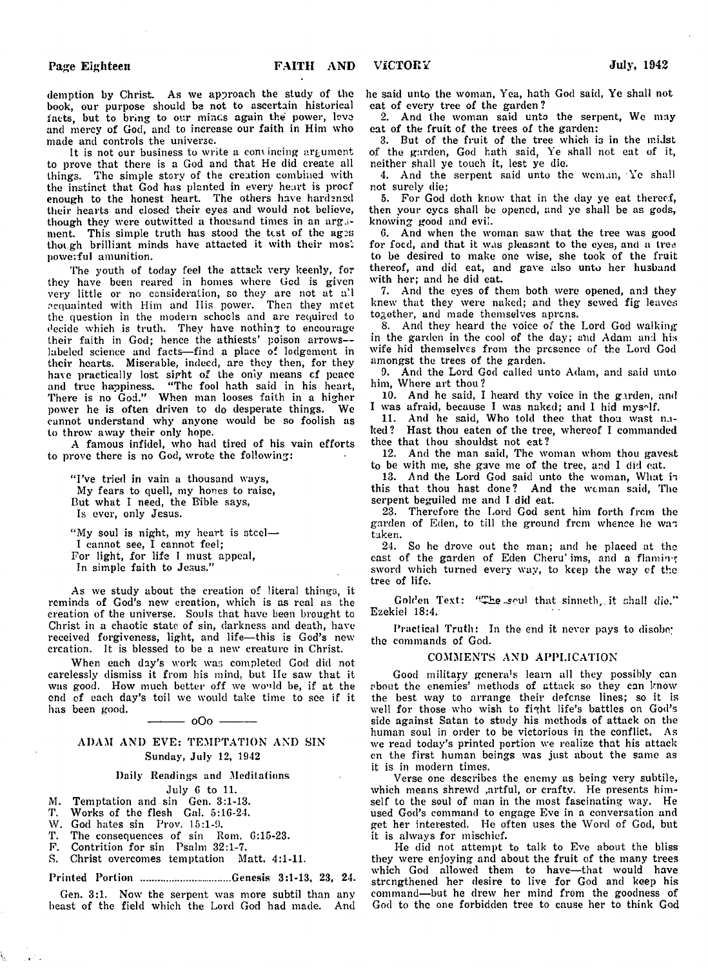demption by Christ. As we approach the study of the book, our purpose should be not to ascertain historical facts, but to bring to our mines again the power, love and mercy of God, and to increase our faith in Him who made and controls the universe.

It is not our business to write a convincing argument to prove that there is a God and that He did create all things. The simple story of the creation combined with the instinct that God has planted in every heart is proof enough to the honest heart. The others have hardened their hearts and closed their eyes and would not believe, though they were outwitted a thousand times in an argument. This simple truth has stood the test of the ages though brilliant minds have attacted it with their most powerful amunition.

The youth of today feel the attack very keenly, for they have been reared in homes where Gcd is given very little or no consideration, so they are not at a'.l acquainted with Him and Ilis power. Then they meet the question in the modern schools and are required to decide which is truth. They have nothing to encourage their faith in God; hence the athiests' poison arrows labeled science and facts— find a place of lodgement in their hearts. Miserable, indeed, are they then, for they have practically lost sight of the only means of peace and true happiness. " The fool hath said in his heart, There is no God." When man looses faith in a higher power he is often driven to do desperate things. We cannot understand why anyone would be so foolish as to throw away their only hope.

A famous infidel, who had tired of his vain efforts to prove there is no God, wrote the following:

"I've tried in vain a thousand ways, My fears to quell, my hones to raise, But what I need, the Bible says, Is ever, only Jesus.

"My soul is night, my heart is steel-I cannot see, I cannot feel; For light, for life I must appeal, In simple faith to Jesus."

As we study about the creation of literal things, it reminds of God's new creation, which is as real as the creation of the universe. Souls that have been brought to Christ in a chaotic state of sin, darkness and death, have received forgiveness, light, and life— this is God's new creation. It is blessed to be a new creature in Christ.

When each day's work was completed God did not carelessly dismiss it from his mind, but He saw that it was good. How much better off we would be, if at the end of each day's toil we would take time to see if it has been good.

### ADAM ANI) EVE: TEMPTATION AND SIN Sunday, July 12, 1942

 $-000 -$ 

#### Daily Readings and Meditations

#### July 6 to 11.

- M. Temptation and sin Gen. 3:1-13.
- T. Works of the flesh Gal. 5:16-24.
- W. God hates sin Prov. 15:1-9.
- T. The consequences of sin Rom. 6:15-23.
- F. Contrition for sin Psalm 32:1-7.<br>S. Christ overcomes temptation M:
- Christ overcomes temptation Matt. 4:1-11.

#### Printed Portion ............................... Genesis 3:1-13, 23, 24.

Gen. 3:1. Now the serpent was more subtil than any beast of the field which the Lord God had made. And

he said unto the woman, Yea, hath God said, Ye shall not eat of every tree of the garden ?

2. And the woman said unto the serpent, We may eat of the fruit of the trees of the garden:

3. But of the fruit of the tree which is in the midst of the garden, God hath said, Ye shall not eat of it, neither shall ye touch it, lest ye die.

4. And the serpent said unto the woman, Ye shall not surely die;

5. For God doth know that in the day ye eat thereof, then your eyes shall be opened, and ye shall be as gods, knowing good and evil.

6. And when the woman saw that the tree was good for foed, and that it was pleasant to the eyes, and a tree to be desired to make one wise, she took of the fruit thereof, and did eat, and gave also unto her husband with her; and he did eat.

7. And the eyes of them both were opened, and they knew that they were naked; and they sewed fig leaves together, and made themselves aprens.

8. And they heard the voice of the Lord God walking in the garden in the cool of the day; and Adam and his wife hid themselves from the presence of the Lord God amongst the trees of the garden.

9. And the Lord God called unto Adam, and said unto him, Where art thou ?

10. And he said, I heard thy voice in the garden, and I was afraid, because I was naked; and I hid myself.

11. And he said, Who told thee that thou wast naked ? Hast thou eaten of the tree, whereof I commanded thee that thou shouldst not eat?

12. And the man said, The woman whom thou gavest to be with me, she gave me of the tree, and I did eat.

13. And the Lord God said unto the woman, What is this that thou hast done? And the woman said, The serpent beguiled me and I did eat.

23. Therefore the Lord God sent him forth from the garden of Eden, to till the ground from whence he was taken.

24. So he drove out the man; and he placed at the cast of the garden of Eden Cheru' ims, and a flaming sword which turned every way, to keep the way cf the tree of life.

Golden Text: "The soul that sinneth, it shall die." Ezekiel 18:4.

Practical Truth: In the end it never pays to disobe; the commands of God.

#### COMMENTS AND APPLICATION

Good military genera's learn all they possibly can about the enemies' methods of attack so they can know the best way to arrange their defense lines; so it is well for those who wish to fight life's battles on God's side against Satan to study his methods of attack on the human soul in order to be victorious in the conflict. As we read today's printed portion we realize that his attack cn the first human beings was just about the same as it is in modern times.

Verse one describes the enemy as being very subtile, which means shrewd .artful, or crafty. He presents himself to the soul of man in the most fascinating way. He used God's command to engage Eve in a conversation and get her interested. He often uses the Word of God, but it is always for mischief.

He did not attempt to talk to Eve about the bliss they were enjoying and about the fruit of the many trees which God allowed them to have—that would have strengthened her desire to live for God and keep his command— but he drew her mind from the goodness of God to the one forbidden tree to cause her to think God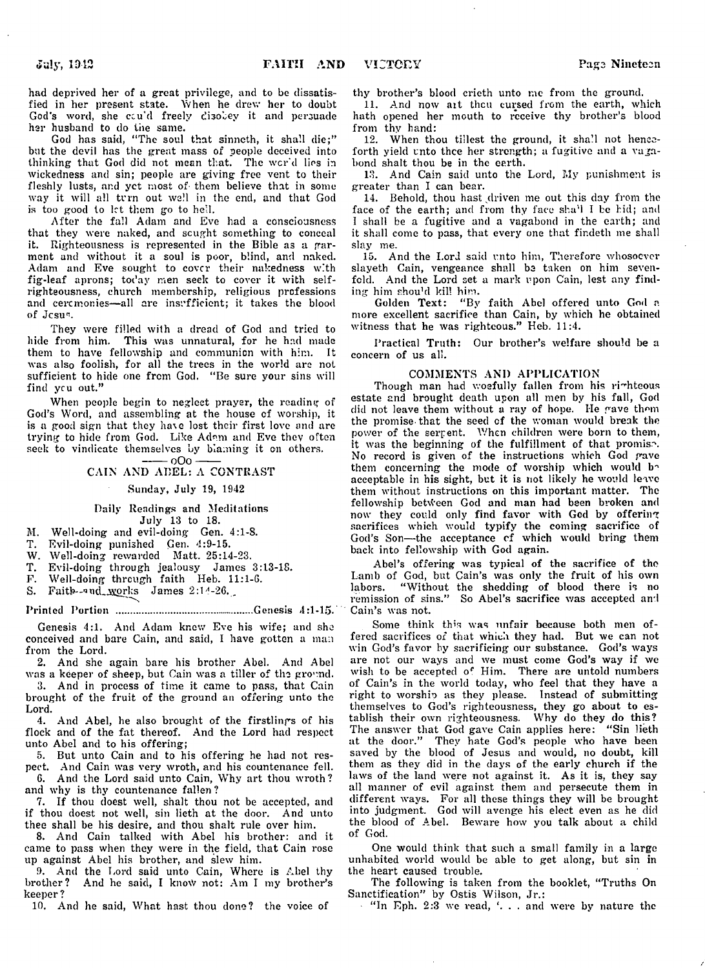had deprived her of a great privilege, and to be dissatisfied in her present state. When he drew her to doubt God's word, she cau'd freely disobey it and persuade her husband to do the same.

God has said, "The soul that sinneth, it shall die;" but the devil has the great mass of people deceived into thinking that God did not mean that. The wcr'd lies in wickedness and sin; people are giving free vent to their fleshly lusts, and yet most of- them believe that in some way it will all turn out well in the end, and that God is too good to let them go to hell.

After the fall Adam and Eve had a consciousness that they were naked, and sought something to conceal it. Righteousness is represented in the Bible as a garment and without it a soul is poor, blind, and naked. Adam and Eve sought to cover their nakedness with fig-leaf aprons; today men seek to cover it with selfrighteousness, church membership, religious professions and ceremonies—all are insufficient; it takes the blood of Jesus.

They were filled with a dread of God and tried to hide from him. This was unnatural, for he had made them to have fellowship and communion with him. It was also foolish, for all the trees in the world are not sufficient to hide one from God. "Be sure your sins will find ycu out."

When people begin to neglect prayer, the reading of God's Word, and assembling at the house of worship, it is a good sign that they have lost their first love and are trying to hide from God. Like Adam and Eve thev often seek to vindicate themselves by blaming it on others.

 $-000 -$ CAIN AND ABEL: A CONTRAST

### Sunday, July 19, 1942

Daily Readings and Meditations July 13 to 18.

M. Well-doing and evil-doing Gen. 4:1-S.

T. Evil-doing punished Gen. 4:9-15.

W. Well-doing rewarded Matt. 25:14-23.

T. Evil-doing through jealousy James 3:13-18.

F. Well-doing through faith Heb. 11:1-6.

S. Faith--and works James 2:14-26.

Printed Portion ................................................Genesis 4:1-15.

Genesis 4:1. And Adam knew Eve his wife; and she conceived and bare Cain, and said, I have gotten a man from the Lord.

2. And she again bare his brother Abel. And Abel was a keeper of sheep, but Cain was a tiller of the ground.

3. And in process of time it came to pass, that Cain brought of the fruit of the ground an offering unto the Lord.

4. And Abel, he also brought of the firstlings of his flock and of the fat thereof. And the Lord had respect unto Abel and to his offering;

5. But unto Cain and to his offering he had not respect. And Cain was very wroth, and his countenance fell. 6. And the Lord said unto Cain, Why art thou wroth ? and why is thy countenance fallen ?

7. If thou doest well, shalt thou not be accepted, and if thou doest not well, sin lieth at the door. And unto thee shall be his desire, and thou shalt rule over him.

8. And Cain talked with Abel his brother: and it came to pass when they were in the field, that Cain rose up against Abel his brother, and slew him.

9. And the Lord said unto Cain, Where is Abel thy brother? And he said, I kno\V not: Am I my brother's keeper ?

10. And he said, What hast thou done? the voice of

thy brother's blood crieth unto me from the ground.

11. And now ait then cursed from the earth, which hath opened her mouth to receive thy brother's blood from thy hand:

12. When thou tiilest the ground, it shall not henceforth yield unto thee her strength; a fugitive and a vagabond shalt thou be in the earth.

13. And Cain said unto the Lord, My punishment is greater than I can bear.

14. Behold, thou hast driven me out this day from the face of the earth; and from thy face sha'l I be hid; and I shall be a fugitive and a vagabond in the earth; and it shall come to pass, that every one that findeth me shall slay me.

15. And the Lord said unto him, Therefore whosoever slayeth Cain, vengeance shall be taken on him sevenfold. And the Lord set a mark upon Cain, lest any finding him shou'd kill him.

Golden Text: " By faith Abel offered unto God a more excellent sacrifice than Cain, by which he obtained witness that he was righteous." Heb. 11:4.

Practical Truth: Our brother's welfare should be a concern of us all.

#### COMMENTS AND APPLICATION

Though man had woefully fallen from his righteous estate and brought death upon all men by his fall, God did not leave them without a ray of hope. He gave them the promise-that the seed cf the woman would break the power of the serpent. When children were born to them, it was the beginning of the fulfillment of that promise. No record is given of the instructions which God gave them concerning the mode of worship which would be acceptable in his sight, but it is not likely he would leave them without instructions on this important matter. The fellowship between God and man had been broken and now they could only find favor with God by offering sacrifices which would typify the coming sacrifice of God's Son— the acceptance of which would bi'ing them back into fellowship with God again.

Abel's offering was typical of the sacrifice of the Lamb of God, but Cain's was only the fruit of his own labors. "Without the shedding of blood there is no remission of sins." So Abel's sacrifice was accepted and Cain's was not.

Some think th's was unfair because both men offered sacrifices of that which they had. But we can not win God's favor by sacrificing our substance. God's ways are not our ways and we must come God's way if we wish to be accepted of Him. There are untold numbers of Cain's in the world today, who feel that they have a right to worshio as they please. Instead of submitting themselves to God's righteousness, they go about to establish their own righteousness. Why do they do this? The answer that God gave Cain applies here: " Sin lieth at the door." They hate God's people who have been saved by the blood of Jesus and would, no doubt, kill them as they did in the days of the early church if the laws of the land were not against it. As it is, they say all manner of evil against them and persecute them in different ways. For all these things they will be brought into judgment. God will avenge his elect even as he did the blood of Abel. Beware how you talk about a child of God.

One would think that such a small family in a large unhabited world would be able to get along, but sin in the heart caused trouble.

The following is taken from the booklet, "Truths On Sanctification" by Ostis Wilson, Jr.:

 $^{\circ}$  "In Eph. 2:3 we read, '... and were by nature the